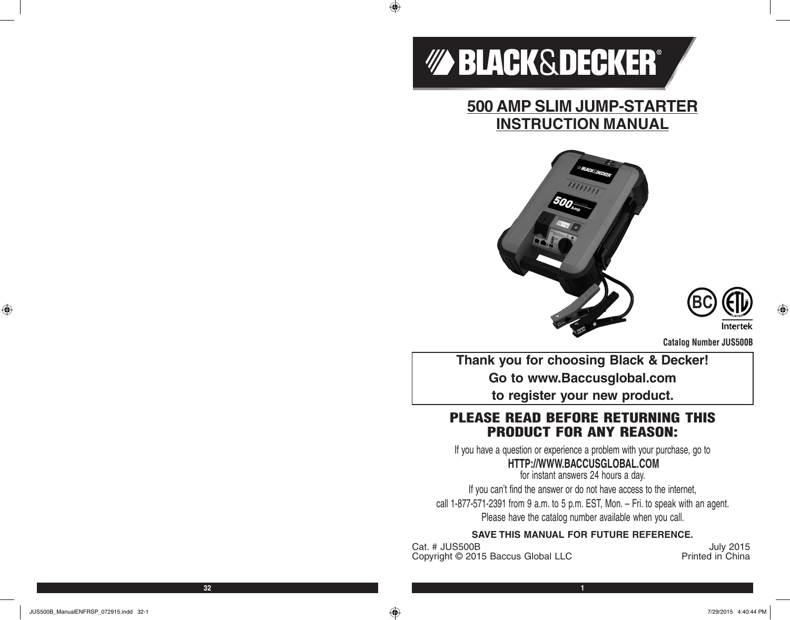

 $\bigoplus$ 

**500 AMP SLIM JUMP-STARTER INSTRUCTION MANUAL**





**Catalog Number JUS500B**

**Thank you for choosing Black & Decker! Go to www.Baccusglobal.com to register your new product.**

# PLEASE READ BEFORE RETURNING THIS PRODUCT FOR ANY REASON:

If you have a question or experience a problem with your purchase, go to

# **HTTP://WWW.BACCUSGLOBAL.COM**

for instant answers 24 hours a day. If you can't find the answer or do not have access to the internet, call 1-877-571-2391 from 9 a.m. to 5 p.m. EST, Mon. – Fri. to speak with an agent. Please have the catalog number available when you call.

## **SAVE THIS MANUAL FOR FUTURE REFERENCE.**

Cat. # JUS500B<br>Copyright © 2015 Baccus Global LLC **Contract Contract Printed in China** Copyright © 2015 Baccus Global LLC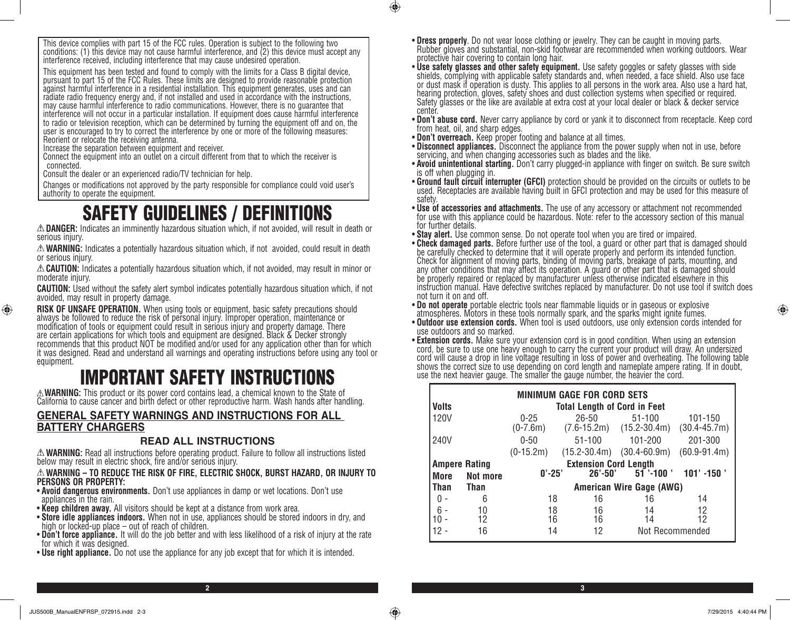This device complies with part 15 of the FCC rules. Operation is subject to the following two conditions: (1) this device may not cause harmful interference, and (2) this device must accept any interference received, including interference that may cause undesired operation.

This equipment has been tested and found to comply with the limits for a Class B digital device, pursuant to part 15 of the FCC Rules. These limits are designed to provide reasonable protection against harmful interference in a residential installation. This equipment generates, uses and can radiate radio frequency energy and, if not installed and used in accordance with the instructions, may cause harmful interference to radio communications. However, there is no guarantee that interference will not occur in a particular installation. If equipment does cause harmful interference to radio or television reception, which can be determined by turning the equipment off and on, the user is encouraged to try to correct the interference by one or more of the following measures: Reorient or relocate the receiving antenna.

Increase the separation between equipment and receiver.

Connect the equipment into an outlet on a circuit different from that to which the receiver is connected.

Consult the dealer or an experienced radio/TV technician for help.

Changes or modifications not approved by the party responsible for compliance could void user's authority to operate the equipment.

# SAFETY GUIDELINES / DEFINITIONS

**DANGER:** Indicates an imminently hazardous situation which, if not avoided, will result in death or serious injury.

**WARNING:** Indicates a potentially hazardous situation which, if not avoided, could result in death or serious injury.

**CAUTION:** Indicates a potentially hazardous situation which, if not avoided, may result in minor or moderate injury.

**CAUTION:** Used without the safety alert symbol indicates potentially hazardous situation which, if not avoided, may result in property damage.

**RISK OF UNSAFE OPERATION.** When using tools or equipment, basic safety precautions should<br>always be followed to reduce the risk of personal injury. Improper operation, maintenance or modification of tools or equipment could result in serious injury and property damage. There are certain applications for which tools and equipment are designed. Black & Decker strongly recommends that this product NOT be modified and/or used for any application other than for which it was designed. Read and understand all warnings and operating instructions before using any tool or equipment.

# **EXAMPERTANT SAFETY INSTRUCTIONS**<br>A WARNING: This product or its power cord contains lead, a chemical known to the State of

California to cause cancer and birth defect or other reproductive harm. Wash hands after handling.

## **GENERAL SAFETY WARNINGS AND INSTRUCTIONS FOR ALL BATTERY CHARGERS**

#### **READ ALL INSTRUCTIONS**

**WARNING:** Read all instructions before operating product. Failure to follow all instructions listed below may result in electric shock, fire and/or serious injury.

#### **WARNING – TO REDUCE THE RISK OF FIRE, ELECTRIC SHOCK, BURST HAZARD, OR INJURY TO PERSONS OR PROPERTY:**

- **Avoid dangerous environments.** Don't use appliances in damp or wet locations. Don't use appliances in the rain.
- **Keep children away.** All visitors should be kept at a distance from work area.
- **Store idle appliances indoors.** When not in use, appliances should be stored indoors in dry, and high or locked-up place out of reach of children.
- **Don't force appliance.** It will do the job better and with less likelihood of a risk of injury at the rate for which it was designed.

**2 3**

 $\bigoplus$ 

• **Use right appliance.** Do not use the appliance for any job except that for which it is intended.

- **Dress properly**. Do not wear loose clothing or jewelry. They can be caught in moving parts.<br>Rubber gloves and substantial, non-skid footwear are recommended when working outdoors. Wear protective hair covering to contain long hair.
- **Use safety glasses and other safety equipment.** Use safety goggles or safety glasses with side shields, complying with applicable safety standards and, when needed, a face shield. Also use face or dust mask if operation is dusty. This applies to all persons in the work area. Also use a hard hat, hearing protection, gloves, safety shoes and dust collection systems when specified or required. Safety glasses or the like are available at extra cost at your local dealer or black & decker service center.
- **Don't abuse cord.** Never carry appliance by cord or yank it to disconnect from receptacle. Keep cord from heat, oil, and sharp edges.
- **Don't overreach.** Keep proper footing and balance at all times.
- **Disconnect appliances**. Disconnect the appliance from the power supply when not in use, before servicing, and when changing accessories such as blades and the like.
- **Avoid unintentional starting.** Don't carry plugged-in appliance with finger on switch. Be sure switch is off when plugging in.
- **Ground fault circuit interrupter (GFCI)** protection should be provided on the circuits or outlets to be used. Receptacles are available having built in GFCI protection and may be used for this measure of safety.
- **Use of accessories and attachments.** The use of any accessory or attachment not recommended for use with this appliance could be hazardous. Note: refer to the accessory section of this manual for further details.
- 
- **Stay alert.** Use common sense. Do not operate tool when you are tired or impaired. • **Check damaged parts.** Before further use of the tool, a guard or other part that is damaged should be carefully checked to determine that it will operate properly and perform its intended function. Check for alignment of moving parts, binding of moving parts, breakage of parts, mounting, and any other conditions that may affect its operation. A guard or other part that is damaged should be properly repaired or replaced by manufacturer unless otherwise indicated elsewhere in this instruction manual. Have defective switches replaced by manufacturer. Do not use tool if switch does not turn it on and off.<br>• Do not operate portable electric tools near flammable liquids or in gaseous or explosive
- atmospheres. Motors in these tools normally spark, and the sparks might ignite fumes.
- **Outdoor use extension cords.** When tool is used outdoors, use only extension cords intended for use outdoors and so marked.<br>• **Extension cords.** Make sure your extension cord is in good condition. When using an extensio
- cord, be sure to use one heavy enough to carry the current your product will draw. An undersized cord will cause a drop in line voltage resulting in loss of power and overheating. The following table shows the correct size to use depending on cord length and nameplate ampere rating. If in doubt, use the next heavier gauge. The smaller the gauge number, the heavier the cord.

|              | <b>MINIMUM GAGE FOR CORD SETS</b> |                              |                                     |                                            |                             |  |
|--------------|-----------------------------------|------------------------------|-------------------------------------|--------------------------------------------|-----------------------------|--|
| <b>Volts</b> |                                   |                              | <b>Total Length of Cord in Feet</b> |                                            |                             |  |
| <b>120V</b>  |                                   | $0 - 25$<br>$(0-7.6m)$       | $26 - 50$                           | $51 - 100$<br>$(7.6-15.2m)$ $(15.2-30.4m)$ | 101-150<br>$(30.4 - 45.7m)$ |  |
| 240V         |                                   | $0 - 50$                     | $51 - 100$                          | 101-200                                    | 201-300                     |  |
|              |                                   | $(0-15.2m)$                  | $(15.2 - 30.4m)$                    | $(30.4 - 60.9m)$                           | $(60.9 - 91.4m)$            |  |
|              | <b>Ampere Rating</b>              | <b>Extension Cord Length</b> |                                     |                                            |                             |  |
| More         | Not more                          | $0' - 25'$                   | $26' - 50'$                         | $51$ '-100 '                               | $101' - 150'$               |  |
| <b>Than</b>  | <b>Than</b>                       | American Wire Gage (AWG)     |                                     |                                            |                             |  |
|              | 6                                 | 18                           | 16                                  | 16                                         | 14                          |  |
| $6 -$        | 10                                | 18                           | 16                                  | 14                                         | 12                          |  |
|              | 12                                | 16                           | 16                                  | 14                                         | 12                          |  |
| 12 -         | 16                                | 14                           | 12                                  | Not Recommended                            |                             |  |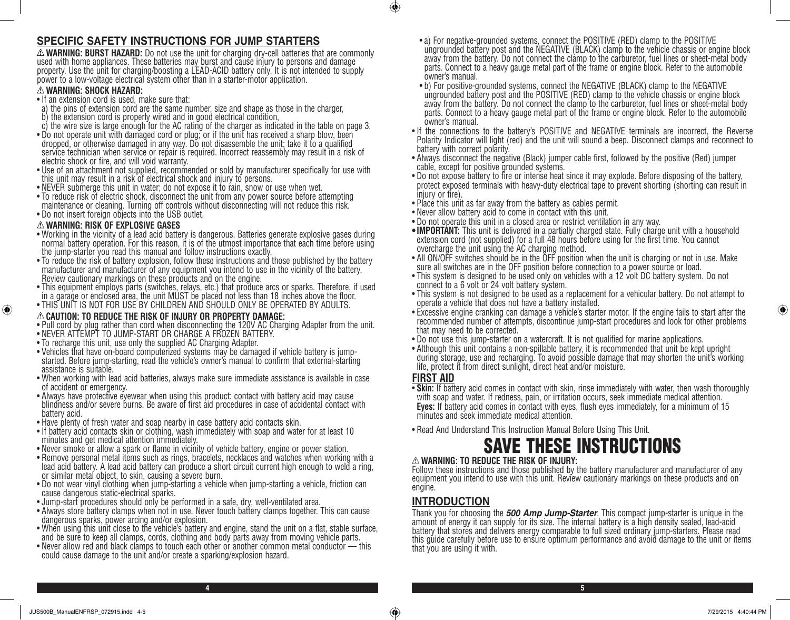# **SPECIFIC SAFETY INSTRUCTIONS FOR JUMP STARTERS**

 $\triangle$  **WARNING: BURST HAZARD:** Do not use the unit for charging dry-cell batteries that are commonly<br>used with home appliances. These batteries may burst and cause injury to persons and damage property. Use the unit for charging/boosting a LEAD-ACID battery only. It is not intended to supply power to a low-voltage electrical system other than in a starter-motor application.

#### **WARNING: SHOCK HAZARD:**

- If an extension cord is used, make sure that:
- a) the pins of extension cord are the same number, size and shape as those in the charger,
- b) the extension cord is properly wired and in good electrical condition,
- c) the wire size is large enough for the AC rating of the charger as indicated in the table on page 3.
- Do not operate unit with damaged cord or plug; or if the unit has received a sharp blow, been dropped, or otherwise damaged in any way. Do not disassemble the unit; take it to a qualified service technician when service or repair is required. Incorrect reassembly may result in a risk of electric shock or fire, and will void warranty.
- Use of an attachment not supplied, recommended or sold by manufacturer specifically for use with this unit may result in a risk of electrical shock and injury to persons.
- NEVER submerge this unit in water; do not expose it to rain, snow or use when wet.
- To reduce risk of electric shock, disconnect the unit from any power source before attempting maintenance or cleaning. Turning off controls without disconnecting will not reduce this risk.
- Do not insert foreign objects into the USB outlet.

#### **WARNING: RISK OF EXPLOSIVE GASES**

⊕

- Working in the vicinity of a lead acid battery is dangerous. Batteries generate explosive gases during normal battery operation. For this reason, it is of the utmost importance that each time before using the jump-starter you read this manual and follow instructions exactly.
- To reduce the risk of battery explosion, follow these instructions and those published by the battery manufacturer and manufacturer of any equipment you intend to use in the vicinity of the battery. Review cautionary markings on these products and on the engine.
- This equipment employs parts (switches, relays, etc.) that produce arcs or sparks. Therefore, if used in a garage or enclosed area, the unit MUST be placed not less than 18 inches above the floor.
- THIS UNIT IS NOT FOR USE BY CHILDREN AND SHOULD ONLY BE OPERATED BY ADULTS.

#### **CAUTION: TO REDUCE THE RISK OF INJURY OR PROPERTY DAMAGE:**

- Pull cord by plug rather than cord when disconnecting the 120V AC Charging Adapter from the unit.
- NEVER ATTEMPT TO JUMP-START OR CHARGE A FROZEN BATTERY.
- To recharge this unit, use only the supplied AC Charging Adapter.
- Vehicles that have on-board computerized systems may be damaged if vehicle battery is jumpstarted. Before jump-starting, read the vehicle's owner's manual to confirm that external-starting assistance is suitable.
- When working with lead acid batteries, always make sure immediate assistance is available in case of accident or emergency.
- Always have protective eyewear when using this product: contact with battery acid may cause blindness and/or severe burns. Be aware of first aid procedures in case of accidental contact with battery acid.
- Have plenty of fresh water and soap nearby in case battery acid contacts skin.
- If battery acid contacts skin or clothing, wash immediately with soap and water for at least 10 minutes and get medical attention immediately.
- Never smoke or allow a spark or flame in vicinity of vehicle battery, engine or power station.
- Remove personal metal items such as rings, bracelets, necklaces and watches when working with a lead acid battery. A lead acid battery can produce a short circuit current high enough to weld a ring, or similar metal object, to skin, causing a severe burn.
- Do not wear vinyl clothing when jump-starting a vehicle when jump-starting a vehicle, friction can cause dangerous static-electrical sparks.
- Jump-start procedures should only be performed in a safe, dry, well-ventilated area.
- Always store battery clamps when not in use. Never touch battery clamps together. This can cause dangerous sparks, power arcing and/or explosion.
- When using this unit close to the vehicle's battery and engine, stand the unit on a flat, stable surface, and be sure to keep all clamps, cords, clothing and body parts away from moving vehicle parts.
- Never allow red and black clamps to touch each other or another common metal conductor this could cause damage to the unit and/or create a sparking/explosion hazard.
- a) For negative-grounded systems, connect the POSITIVE (RED) clamp to the POSITIVE ungrounded battery post and the NEGATIVE (BLACK) clamp to the vehicle chassis or engine block away from the battery. Do not connect the clamp to the carburetor, fuel lines or sheet-metal body parts. Connect to a heavy gauge metal part of the frame or engine block. Refer to the automobile owner's manual.
- b) For positive-grounded systems, connect the NEGATIVE (BLACK) clamp to the NEGATIVE ungrounded battery post and the POSITIVE (RED) clamp to the vehicle chassis or engine block away from the battery. Do not connect the clamp to the carburetor, fuel lines or sheet-metal body parts. Connect to a heavy gauge metal part of the frame or engine block. Refer to the automobile owner's manual.
- If the connections to the battery's POSITIVE and NEGATIVE terminals are incorrect, the Reverse Polarity Indicator will light (red) and the unit will sound a beep. Disconnect clamps and reconnect to battery with correct polarity.
- Always disconnect the negative (Black) jumper cable first, followed by the positive (Red) jumper cable, except for positive grounded systems.
- Do not expose battery to fire or intense heat since it may explode. Before disposing of the battery, protect exposed terminals with heavy-duty electrical tape to prevent shorting (shorting can result in injury or fire).
- Place this unit as far away from the battery as cables permit.
- Never allow battery acid to come in contact with this unit.
- Do not operate this unit in a closed area or restrict ventilation in any way.
- **IMPORTANT:** This unit is delivered in a partially charged state. Fully charge unit with a household extension cord (not supplied) for a full 48 hours before using for the first time. You cannot overcharge the unit using the AC charging method.
- All ON/OFF switches should be in the OFF position when the unit is charging or not in use. Make<br>sure all switches are in the OFF position before connection to a power source or load.
- This system is designed to be used only on vehicles with a 12 volt DC battery system. Do not connect to a 6 volt or 24 volt battery system.
- This system is not designed to be used as a replacement for a vehicular battery. Do not attempt to operate a vehicle that does not have a battery installed.
- Excessive engine cranking can damage a vehicle's starter motor. If the engine fails to start after the recommended number of attempts, discontinue jump-start procedures and look for other problems that may need to be corrected.
- Do not use this jump-starter on a watercraft. It is not qualified for marine applications.
- Although this unit contains a non-spillable battery, it is recommended that unit be kept upright during storage, use and recharging. To avoid possible damage that may shorten the unit's working life, protect it from direct sunlight, direct heat and/or moisture.

## **FIRST AID**

 $\bigcirc$ 

- **Skin:** If battery acid comes in contact with skin, rinse immediately with water, then wash thoroughly with soap and water. If redness, pain, or irritation occurs, seek immediate medical attention. **Eyes:** If battery acid comes in contact with eyes, flush eyes immediately, for a minimum of 15 minutes and seek immediate medical attention.
- Read And Understand This Instruction Manual Before Using This Unit.

# SAVE THESE INSTRUCTIONS

#### **WARNING: TO REDUCE THE RISK OF INJURY:**

Follow these instructions and those published by the battery manufacturer and manufacturer of any equipment you intend to use with this unit. Review cautionary markings on these products and on engine.

# **INTRODUCTION**

**4 5**

Thank you for choosing the *500 Amp Jump-Starter*. This compact jump-starter is unique in the amount of energy it can supply for its size. The internal battery is a high density sealed, lead-acid battery that stores and delivers energy comparable to full sized ordinary jump-starters. Please read this guide carefully before use to ensure optimum performance and avoid damage to the unit or items that you are using it with.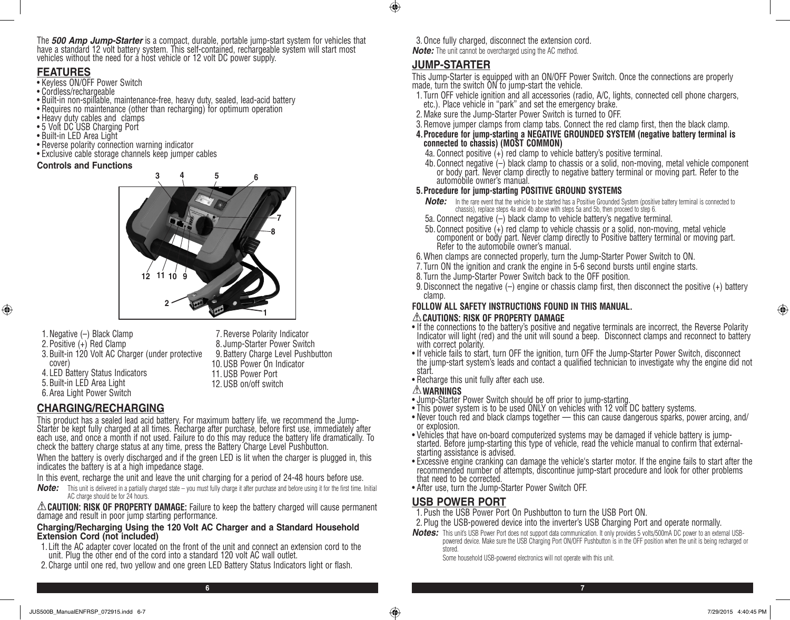The *500 Amp Jump-Starter* is a compact, durable, portable jump-start system for vehicles that have a standard 12 volt battery system. This self-contained, rechargeable system will start most vehicles without the need for a host vehicle or 12 volt DC power supply.

## **FEATURES**

⊕

- Keyless ON/OFF Power Switch
- Cordless/rechargeable
- Built-in non-spillable, maintenance-free, heavy duty, sealed, lead-acid battery
- Requires no maintenance (other than recharging) for optimum operation
- Heavy duty cables and clamps
- 5 Volt DC USB Charging Port
- Built-in LED Area Light
- Reverse polarity connection warning indicator
- Exclusive cable storage channels keep jumper cables

#### **Controls and Functions**



1.Negative (–) Black Clamp 2.Positive (+) Red Clamp 3.Built-in 120 Volt AC Charger (under protective cover) 4. LED Battery Status Indicators 5.Built-in LED Area Light 6.Area Light Power Switch 9.Battery Charge Level Pushbutton 10.USB Power On Indicator 11.USB Power Port 12.USB on/off switch

# **CHARGING/RECHARGING**

This product has a sealed lead acid battery. For maximum battery life, we recommend the Jump-Starter be kept fully charged at all times. Recharge after purchase, before first use, immediately after each use, and once a month if not used. Failure to do this may reduce the battery life dramatically. To check the battery charge status at any time, press the Battery Charge Level Pushbutton.

7.Reverse Polarity Indicator 8. Jump-Starter Power Switch

When the battery is overly discharged and if the green LED is lit when the charger is plugged in, this indicates the battery is at a high impedance stage.

In this event, recharge the unit and leave the unit charging for a period of 24-48 hours before use.

*Note:* This unit is delivered in a partially charged state – you must fully charge it after purchase and before using it for the first time. Initial AC charge should be for 24 hours.

**CAUTION: RISK OF PROPERTY DAMAGE:** Failure to keep the battery charged will cause permanent damage and result in poor jump starting performance.

#### **Charging/Recharging Using the 120 Volt AC Charger and a Standard Household Extension Cord (not included)**

- 1. Lift the AC adapter cover located on the front of the unit and connect an extension cord to the unit. Plug the other end of the cord into a standard 120 volt AC wall outlet.
- 2.Charge until one red, two yellow and one green LED Battery Status Indicators light or flash.

3. Once fully charged, disconnect the extension cord. *Note:* The unit cannot be overcharged using the AC method.

## **JUMP-STARTER**

 $\bigoplus$ 

This Jump-Starter is equipped with an ON/OFF Power Switch. Once the connections are properly made, turn the switch ON to jump-start the vehicle.

- 1. Turn OFF vehicle ignition and all accessories (radio, A/C, lights, connected cell phone chargers, etc.). Place vehicle in "park" and set the emergency brake.
- 2.Make sure the Jump-Starter Power Switch is turned to OFF.
- 3.Remove jumper clamps from clamp tabs. Connect the red clamp first, then the black clamp.
- **4.Procedure for jump-starting a NEGATIVE GROUNDED SYSTEM (negative battery terminal is connected to chassis) (MOST COMMON)**
	- 4a. Connect positive (+) red clamp to vehicle battery's positive terminal.
	- 4b. Connect negative (–) black clamp to chassis or a solid, non-moving, metal vehicle component or body part. Never clamp directly to negative battery terminal or moving part. Refer to the automobile owner's manual.

#### **5.Procedure for jump-starting POSITIVE GROUND SYSTEMS**

- **Note:** In the rare event that the vehicle to be started has a Positive Grounded System (positive battery terminal is connected to chassis), replace steps 4a and 4b above with steps 5a and 5b, then proceed to step 6.
- 5a. Connect negative (–) black clamp to vehicle battery's negative terminal.
- 5b. Connect positive (+) red clamp to vehicle chassis or a solid, non-moving, metal vehicle component or body part. Never clamp directly to Positive battery terminal or moving part. Refer to the automobile owner's manual.
- 6.When clamps are connected properly, turn the Jump-Starter Power Switch to ON.
- 7. Turn ON the ignition and crank the engine in 5-6 second bursts until engine starts.
- 8. Turn the Jump-Starter Power Switch back to the OFF position.
- 9.Disconnect the negative (–) engine or chassis clamp first, then disconnect the positive (+) battery clamp.

#### **FOLLOW ALL SAFETY INSTRUCTIONS FOUND IN THIS MANUAL. CAUTIONS: RISK OF PROPERTY DAMAGE**

- If the connections to the battery's positive and negative terminals are incorrect, the Reverse Polarity Indicator will light (red) and the unit will sound a beep. Disconnect clamps and reconnect to battery with correct polarity.
- If vehicle fails to start, turn OFF the ignition, turn OFF the Jump-Starter Power Switch, disconnect the jump-start system's leads and contact a qualified technician to investigate why the engine did not start.
- Recharge this unit fully after each use.

- **WARNINGS** Jump-Starter Power Switch should be off prior to jump-starting.
- This power system is to be used ONLY on vehicles with 12 volt DC battery systems.
- Never touch red and black clamps together this can cause dangerous sparks, power arcing, and/ or explosion.
- Vehicles that have on-board computerized systems may be damaged if vehicle battery is jumpstarted. Before jump-starting this type of vehicle, read the vehicle manual to confirm that externalstarting assistance is advised.
- Excessive engine cranking can damage the vehicle's starter motor. If the engine fails to start after the recommended number of attempts, discontinue jump-start procedure and look for other problems that need to be corrected.
- After use, turn the Jump-Starter Power Switch OFF.

## **USB POWER PORT**

- 1.Push the USB Power Port On Pushbutton to turn the USB Port ON.
- 2.Plug the USB-powered device into the inverter's USB Charging Port and operate normally.
- *Notes:* This unit's USB Power Port does not support data communication. It only provides 5 volts/500mA DC power to an external USBpowered device. Make sure the USB Charging Port ON/OFF Pushbutton is in the OFF position when the unit is being recharged or stored.

Some household USB-powered electronics will not operate with this unit.

**6 7**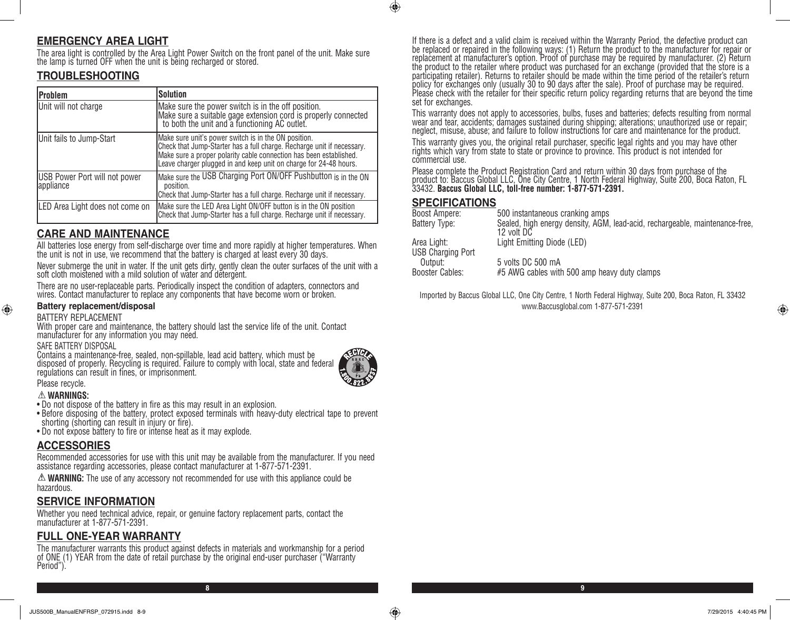# **EMERGENCY AREA LIGHT**

The area light is controlled by the Area Light Power Switch on the front panel of the unit. Make sure the lamp is turned OFF when the unit is being recharged or stored.

# **TROUBLESHOOTING**

| Problem                                    | <b>Solution</b>                                                                                                                                                                                                                                                           |
|--------------------------------------------|---------------------------------------------------------------------------------------------------------------------------------------------------------------------------------------------------------------------------------------------------------------------------|
| Unit will not charge                       | Make sure the power switch is in the off position.<br>Make sure a suitable gage extension cord is properly connected<br>to both the unit and a functioning AC outlet.                                                                                                     |
| Unit fails to Jump-Start                   | Make sure unit's power switch is in the ON position.<br>Check that Jump-Starter has a full charge. Recharge unit if necessary.<br>Make sure a proper polarity cable connection has been established.<br>Leave charger plugged in and keep unit on charge for 24-48 hours. |
| USB Power Port will not power<br>appliance | Make sure the USB Charging Port ON/OFF Pushbutton is in the ON<br>position.<br>Check that Jump-Starter has a full charge. Recharge unit if necessary.                                                                                                                     |
| LED Area Light does not come on            | Make sure the LED Area Light ON/OFF button is in the ON position<br>Check that Jump-Starter has a full charge. Recharge unit if necessary.                                                                                                                                |

## **CARE AND MAINTENANCE**

All batteries lose energy from self-discharge over time and more rapidly at higher temperatures. When the unit is not in use, we recommend that the battery is charged at least every 30 days.

Never submerge the unit in water. If the unit gets dirty, gently clean the outer surfaces of the unit with a soft cloth moistened with a mild solution of water and detergent.

There are no user-replaceable parts. Periodically inspect the condition of adapters, connectors and wires. Contact manufacturer to replace any components that have become worn or broken.

#### **Battery replacement/disposal**

BATTERY REPLACEMENT

With proper care and maintenance, the battery should last the service life of the unit. Contact manufacturer for any information you may need.

SAFE BATTERY DISPOSAL

Contains a maintenance-free, sealed, non-spillable, lead acid battery, which must be disposed of properly. Recycling is required. Failure to comply with local, state and federal regulations can result in fines, or imprisonment.



**8 9**

#### Please recycle. **WARNINGS:**

⊕

- Do not dispose of the battery in fire as this may result in an explosion.
- Before disposing of the battery, protect exposed terminals with heavy-duty electrical tape to prevent shorting (shorting can result in injury or fire).
- Do not expose battery to fire or intense heat as it may explode.

#### **ACCESSORIES**

Recommended accessories for use with this unit may be available from the manufacturer. If you need assistance regarding accessories, please contact manufacturer at 1-877-571-2391.

**WARNING:** The use of any accessory not recommended for use with this appliance could be hazardous.

## **SERVICE INFORMATION**

Whether you need technical advice, repair, or genuine factory replacement parts, contact the manufacturer at 1-877-571-2391.

# **FULL ONE-YEAR WARRANTY**

The manufacturer warrants this product against defects in materials and workmanship for a period of ONE (1) YEAR from the date of retail purchase by the original end-user purchaser ("Warranty Period").

If there is a defect and a valid claim is received within the Warranty Period, the defective product can be replaced or repaired in the following ways: (1) Return the product to the manufacturer for repair or replacement at manufacturer's option. Proof of purchase may be required by manufacturer. (2) Return the product to the retailer where product was purchased for an exchange (provided that the store is a participating retailer). Returns to retailer should be made within the time period of the retailer's return policy for exchanges only (usually 30 to 90 days after the sale). Proof of purchase may be required. Please check with the retailer for their specific return policy regarding returns that are beyond the time set for exchanges.

This warranty does not apply to accessories, bulbs, fuses and batteries; defects resulting from normal wear and tear, accidents; damages sustained during shipping; alterations; unauthorized use or repair; neglect, misuse, abuse; and failure to follow instructions for care and maintenance for the product.

This warranty gives you, the original retail purchaser, specific legal rights and you may have other rights which vary from state to state or province to province. This product is not intended for commercial use.

Please complete the Product Registration Card and return within 30 days from purchase of the product to: Baccus Global LLC, One City Centre, 1 North Federal Highway, Suite 200, Boca Raton, FL 33432. **Baccus Global LLC, toll-free number: 1-877-571-2391.** 

## **SPECIFICATIONS**

 $\bigoplus$ 

| Boost Ampere:                           | 500 instantaneous cranking amps                                                            |
|-----------------------------------------|--------------------------------------------------------------------------------------------|
| Battery Type:                           | Sealed, high energy density, AGM, lead-acid, rechargeable, maintenance-free,<br>12 volt DC |
| Area Light:<br><b>USB Charging Port</b> | Light Emitting Diode (LED)                                                                 |
| Output:<br>Booster Cables:              | 5 volts DC 500 mA<br>#5 AWG cables with 500 amp heavy duty clamps                          |
|                                         |                                                                                            |

Imported by Baccus Global LLC, One City Centre, 1 North Federal Highway, Suite 200, Boca Raton, FL 33432 www.Baccusglobal.com 1-877-571-2391

 $\bigoplus$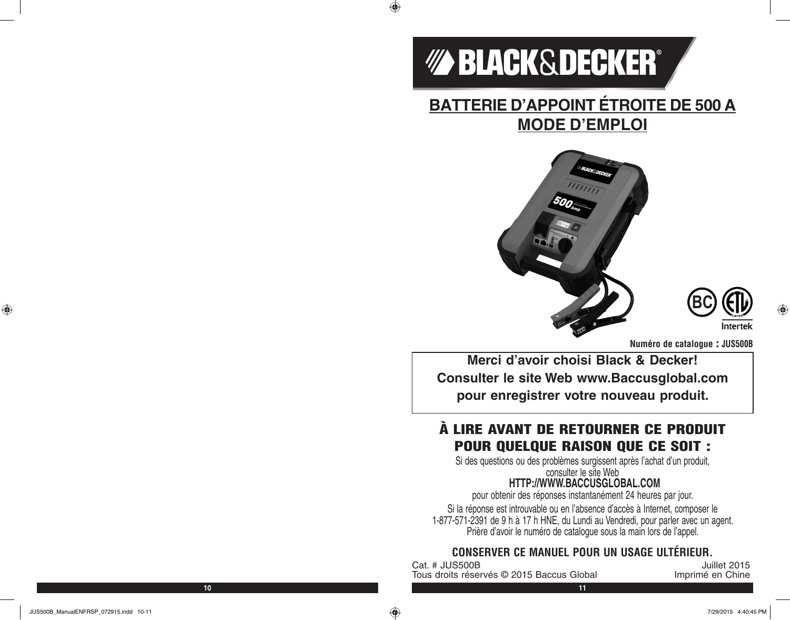

 $\bigoplus$ 

# **BATTERIE D'APPOINT ÉTROITE DE 500 A MODE D'EMPLOI**





**Numéro de catalogue : JUS500B**

**Merci d'avoir choisi Black & Decker! Consulter le site Web www.Baccusglobal.com pour enregistrer votre nouveau produit.**

# À LIRE AVANT DE RETOURNER CE PRODUIT POUR QUELQUE RAISON QUE CE SOIT :

Si des questions ou des problèmes surgissent après l'achat d'un produit, consulter le site Web

# **HTTP://WWW.BACCUSGLOBAL.COM**

pour obtenir des réponses instantanément 24 heures par jour.

Si la réponse est introuvable ou en l'absence d'accès à Internet, composer le 1-877-571-2391 de 9 h à 17 h HNE, du Lundi au Vendredi, pour parler avec un agent. Prière d'avoir le numéro de catalogue sous la main lors de l'appel.

# **CONSERVER CE MANUEL POUR UN USAGE ULTÉRIEUR.**

Unillet 2015<br>Tous droits réservés © 2015 Baccus Global de l'annoirmé en Chine Tous droits réservés © 2015 Baccus Global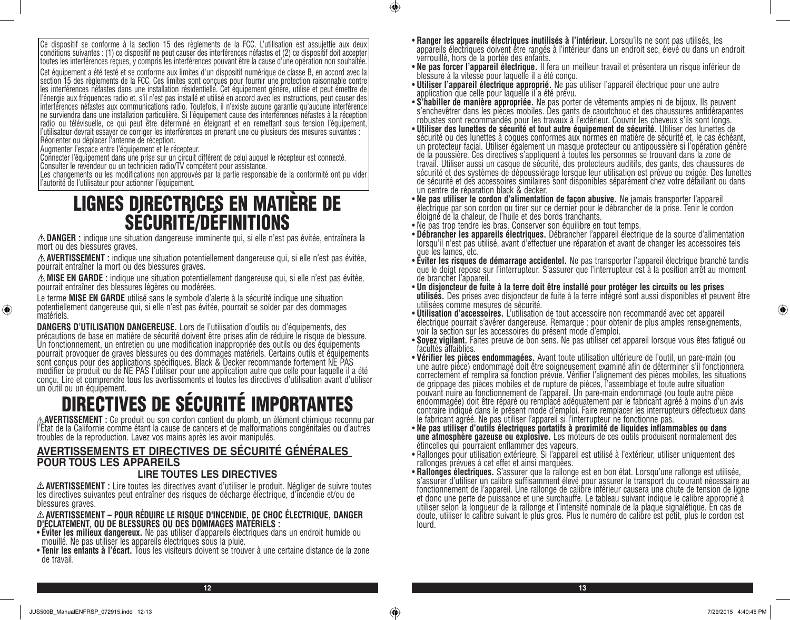Ce dispositif se conforme à la section 15 des règlements de la FCC. L'utilisation est assujettie aux deux conditions suivantes : (1) ce dispositif ne peut causer des interférences néfastes et (2) ce dispositif doit accepter toutes les interférences reçues, y compris les interférences pouvant être la cause d'une opération non souhaitée.

Cet équipement a été testé et se conforme aux limites d'un dispositif numérique de classe B, en accord avec la section 15 des règlements de la FCC. Ces limites sont conçues pour fournir une protection raisonnable contre les interférences néfastes dans une installation résidentielle. Cet équipement génère, utilise et peut émettre de l'énergie aux fréquences radio et, s'il n'est pas installé et utilisé en accord avec les instructions, peut causer des interférences néfastes aux communications radio. Toutefois, il n'existe aucune garantie qu'aucune interférence ne surviendra dans une installation particulière. Si l'équipement cause des interférences néfastes à la réception radio ou télévisuelle, ce qui peut être déterminé en éteignant et en remettant sous tension l'équipement, l'utilisateur devrait essayer de corriger les interférences en prenant une ou plusieurs des mesures suivantes : Réorienter ou déplacer l'antenne de réception.

Augmenter l'espace entre l'équipement et le récepteur.

Connecter l'équipement dans une prise sur un circuit différent de celui auquel le récepteur est connecté.

Consulter le revendeur ou un technicien radio/TV compétent pour assistance.

Les changements ou les modifications non approuvés par la partie responsable de la conformité ont pu vider l'autorité de l'utilisateur pour actionner l'équipement.

# LIGNES DIRECTRICES EN MATIÈRE DE SÉCURITÉ/DÉFINITIONS

**DANGER :** indique une situation dangereuse imminente qui, si elle n'est pas évitée, entraînera la mort ou des blessures graves.

**AVERTISSEMENT :** indique une situation potentiellement dangereuse qui, si elle n'est pas évitée, pourrait entraîner la mort ou des blessures graves.

**MISE EN GARDE :** indique une situation potentiellement dangereuse qui, si elle n'est pas évitée, pourrait entraîner des blessures légères ou modérées.

Le terme **MISE EN GARDE** utilisé sans le symbole d'alerte à la sécurité indique une situation potentiellement dangereuse qui, si elle n'est pas évitée, pourrait se solder par des dommages matériels.

**DANGERS D'UTILISATION DANGEREUSE.** Lors de l'utilisation d'outils ou d'équipements, des<br>précautions de base en matière de sécurité doivent être prises afin de réduire le risque de blessure. Un fonctionnement, un entretien ou une modification inappropriée des outils ou des équipements pourrait provoquer de graves blessures ou des dommages matériels. Certains outils et équipements sont conçus pour des applications spécifiques. Black & Decker recommande fortement NE PAS modifier ce produit ou de NE PAS l'utiliser pour une application autre que celle pour laquelle il a été conçu. Lire et comprendre tous les avertissements et toutes les directives d'utilisation avant d'utiliser un outil ou un équipement.

# DIRECTIVES DE SÉCURITÉ IMPORTANTES

**AVERTISSEMENT :** Ce produit ou son cordon contient du plomb, un élément chimique reconnu par l'État de la Californie comme étant la cause de cancers et de malformations congénitales ou d'autres troubles de la reproduction. Lavez vos mains après les avoir manipulés.

# **AVERTISSEMENTS ET DIRECTIVES DE SÉCURITÉ GÉNÉRALES POUR TOUS LES APPAREILS**

#### **LIRE TOUTES LES DIRECTIVES**

**AVERTISSEMENT :** Lire toutes les directives avant d'utiliser le produit. Négliger de suivre toutes les directives suivantes peut entraîner des risques de décharge électrique, d'incendie et/ou de blessures graves.

**AVERTISSEMENT – POUR RÉDUIRE LE RISQUE D'INCENDIE, DE CHOC ÉLECTRIQUE, DANGER D'ÉCLATEMENT, OU DE BLESSURES OU DES DOMMAGES MATÉRIELS :**

- **Éviter les milieux dangereux.** Ne pas utiliser d'appareils électriques dans un endroit humide ou mouillé. Ne pas utiliser les appareils électriques sous la pluie.
- **Tenir les enfants à l'écart.** Tous les visiteurs doivent se trouver à une certaine distance de la zone de travail.
- **Ranger les appareils électriques inutilisés à l'intérieur.** Lorsqu'ils ne sont pas utilisés, les appareils électriques doivent être rangés à l'intérieur dans un endroit sec, élevé ou dans un endroit verrouillé, hors de la portée des enfants.
- **Ne pas forcer l'appareil électrique.** Il fera un meilleur travail et présentera un risque inférieur de blessure à la vitesse pour laquelle il a été conçu.
- **Utiliser l'appareil électrique approprié.** Ne pas utiliser l'appareil électrique pour une autre application que celle pour laquelle il a été prévu.
- **S'habiller de manière appropriée.** Ne pas porter de vêtements amples ni de bijoux. Ils peuvent s'enchevêtrer dans les pièces mobiles. Des gants de caoutchouc et des chaussures antidérapantes robustes sont recommandés pour les travaux à l'extérieur. Couvrir les cheveux s'ils sont longs.
- **Utiliser des lunettes de sécurité et tout autre équipement de sécurité.** Utiliser des lunettes de sécurité ou des lunettes à coques conformes aux normes en matière de sécurité et, le cas échéant, un protecteur facial. Utiliser également un masque protecteur ou antipoussière si l'opération génère de la poussière. Ces directives s'appliquent à toutes les personnes se trouvant dans la zone de travail. Utiliser aussi un casque de sécurité, des protecteurs auditifs, des gants, des chaussures de sécurité et des systèmes de dépoussiérage lorsque leur utilisation est prévue ou exigée. Des lunettes de sécurité et des accessoires similaires sont disponibles séparément chez votre détaillant ou dans
- un centre de réparation black & decker.<br>• Ne pas utiliser le cordon d'alimentation de façon abusive. Ne jamais transporter l'appareil électrique par son cordon ou tirer sur ce dernier pour le débrancher de la prise. Tenir le cordon éloigné de la chaleur, de l'huile et des bords tranchants.
- 
- Ne pas trop tendre les bras. Conserver son équilibre en tout temps.<br>• **Débrancher les appareils électriques.** Débrancher l'appareil électrique de la source d'alimentation lorsqu'il n'est pas utilisé, avant d'effectuer une réparation et avant de changer les accessoires tels
- que les lames, etc.<br>• Éviter les risques de démarrage accidentel. Ne pas transporter l'appareil électrique branché tandis que le doigt repose sur l'interrupteur. S'assurer que l'interrupteur est à la position arrêt au moment de brancher l'appareil.
- **Un disjoncteur de fuite à la terre doit être installé pour protéger les circuits ou les prises**  utili**sés**. Des prises avec disjoncteur de fuite à la terre intégré sont aussi disponibles et peuvent être<br>utilisées comme mesures de sécurité.<br>• **Utilisation d'accessoires.** L'utilisation de tout accessoire non recommandé
- **Utilisation d'accessoires.** L'utilisation de tout accessoire non recommandé avec cet appareil électrique pourrait s'avérer dangereuse. Remarque : pour obtenir de plus amples renseignements, voir la section sur les accessoires du présent mode d'emploi.
- **Soyez vigilant.** Faites preuve de bon sens. Ne pas utiliser cet appareil lorsque vous êtes fatigué ou facultés affaiblies.
- **Vérifier les pièces endommagées.** Avant toute utilisation ultérieure de l'outil, un pare-main (ou une autre pièce) endommagé doit être soigneusement examiné afin de déterminer s'il fonctionnera correctement et remplira sa fonction prévue. Vérifier l'alignement des pièces mobiles, les situations de grippage des pièces mobiles et de rupture de pièces, l'assemblage et toute autre situation pouvant nuire au fonctionnement de l'appareil. Un pare-main endommagé (ou toute autre pièce endommagée) doit être réparé ou remplacé adéquatement par le fabricant agréé à moins d'un avis contraire indiqué dans le présent mode d'emploi. Faire remplacer les interrupteurs défectueux dans le fabricant agréé. Ne pas utiliser l'appareil si l'interrupteur ne fonctionne pas.
- **Ne pas utiliser d'outils électriques portatifs à proximité de liquides inflammables ou dans une atmosphère gazeuse ou explosive.** Les moteurs de ces outils produisent normalement des étincelles qui pourraient enflammer des vapeurs.
- Rallonges pour utilisation extérieure. Si l'appareil est utilisé à l'extérieur, utiliser uniquement des rallonges prévues à cet effet et ainsi marquées.
- **Rallonges électriques.** S'assurer que la rallonge est en bon état. Lorsqu'une rallonge est utilisée,<br>s'assurer d'utiliser un calibre suffisamment élevé pour assurer le transport du courant nécessaire au fonctionnement de l'appareil. Une rallonge de calibre inférieur causera une chute de tension de ligne et donc une perte de puissance et une surchauffe. Le tableau suivant indique le calibre approprié à utiliser selon la longueur de la rallonge et l'intensité nominale de la plaque signalétique. En cas de doute, utiliser le calibre suivant le plus gros. Plus le numéro de calibre est petit, plus le cordon est lourd.

⊕

**12 13**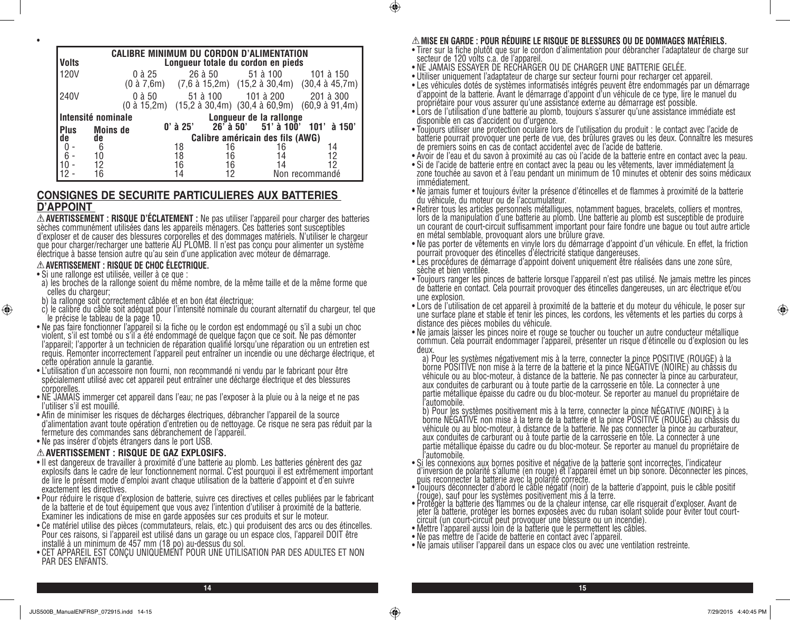|              |                                  |            |          | <b>CALIBRE MINIMUM DU CORDON D'ALIMENTATION</b> |                                                                                                                                             |
|--------------|----------------------------------|------------|----------|-------------------------------------------------|---------------------------------------------------------------------------------------------------------------------------------------------|
| <b>Volts</b> |                                  |            |          | Longueur totale du cordon en pieds              |                                                                                                                                             |
| 120V         | 0 à 25                           |            | 26 à 50  | 51 à 100                                        | 101 à 150<br>$(0 \text{ à } 7,6\text{m})$ $(7,6 \text{ à } 15,2\text{m})$ $(15,2 \text{ à } 30,4\text{m})$ $(30,4 \text{ à } 45,7\text{m})$ |
| 240V         | 0 à 50<br>$(0 \text{ à } 15,2m)$ |            | 51 à 100 | 101 à 200                                       | 201 à 300<br>$(15,2 \text{ à } 30,4\text{m})$ $(30,4 \text{ à } 60,9\text{m})$ $(60,9 \text{ à } 91,4\text{m})$                             |
|              | Intensité nominale               |            |          | Longueur de la rallonge                         |                                                                                                                                             |
| <b>Plus</b>  | <b>Moins de</b>                  | $0'$ à 25' |          | $26'$ à 50' 51' à 100'                          | 101'à 150'                                                                                                                                  |
| de           | de                               |            |          | Calibre américain des fils (AWG)                |                                                                                                                                             |
|              | 6                                | 18         | 16       | 16                                              | 14                                                                                                                                          |
|              | 10                               | 18         | 16       | 14                                              | 12                                                                                                                                          |
|              | 12                               | 16         | 16       | 14                                              | 12                                                                                                                                          |
|              |                                  | 14         |          |                                                 | Non recommandé                                                                                                                              |

#### **CONSIGNES DE SECURITE PARTICULIERES AUX BATTERIES D'APPOINT**

**AVERTISSEMENT : RISQUE D'ÉCLATEMENT :** Ne pas utiliser l'appareil pour charger des batteries sèches communément utilisées dans les appareils ménagers. Ces batteries sont susceptibles d'exploser et de causer des blessures corporelles et des dommages matériels. N'utiliser le chargeur que pour charger/recharger une batterie AU PLOMB. Il n'est pas conçu pour alimenter un système électrique à basse tension autre qu'au sein d'une application avec moteur de démarrage.

**AVERTISSEMENT : RISQUE DE CHOC ÉLECTRIQUE.** • Si une rallonge est utilisée, veiller à ce que :

•

⊕

- a) les broches de la rallonge soient du même nombre, de la même taille et de la même forme que celles du chargeur;
- b) la rallonge soit correctement câblée et en bon état électrique;
- c) le calibre du câble soit adéquat pour l'intensité nominale du courant alternatif du chargeur, tel que le précise le tableau de la page 10.
- Ne pas faire fonctionner l'appareil si la fiche ou le cordon est endommagé ou s'il a subi un choc violent, s'il est tombé ou s'il a été endommagé de quelque façon que ce soit. Ne pas démonter l'appareil; l'apporter à un technicien de réparation qualifié lorsqu'une réparation ou un entretien est requis. Remonter incorrectement l'appareil peut entraîner un incendie ou une décharge électrique, et cette opération annule la garantie.
- L'utilisation d'un accessoire non fourni, non recommandé ni vendu par le fabricant pour être spécialement utilisé avec cet appareil peut entraîner une décharge électrique et des blessures corporelles.
- NE JAMAIS immerger cet appareil dans l'eau; ne pas l'exposer à la pluie ou à la neige et ne pas l'utiliser s'il est mouillé.
- Afin de minimiser les risques de décharges électriques, débrancher l'appareil de la source d'alimentation avant toute opération d'entretien ou de nettoyage. Ce risque ne sera pas réduit par la fermeture des commandes sans débranchement de l'appareil.
- Ne pas insérer d'objets étrangers dans le port USB.

#### **AVERTISSEMENT : RISQUE DE GAZ EXPLOSIFS.**

- Il est dangereux de travailler à proximité d'une batterie au plomb. Les batteries génèrent des gaz explosifs dans le cadre de leur fonctionnement normal. C'est pourquoi il est extrêmement important de lire le présent mode d'emploi avant chaque utilisation de la batterie d'appoint et d'en suivre exactement les directives.
- Pour réduire le risque d'explosion de batterie, suivre ces directives et celles publiées par le fabricant de la batterie et de tout équipement que vous avez l'intention d'utiliser à proximité de la batterie. Examiner les indications de mise en garde apposées sur ces produits et sur le moteur.
- Ce matériel utilise des pièces (commutateurs, relais, etc.) qui produisent des arcs ou des étincelles. Pour ces raisons, si l'appareil est utilisé dans un garage ou un espace clos, l'appareil DOIT être installé à un minimum de 457 mm (18 po) au-dessus du sol.
- CET APPAREIL EST CONÇU UNIQUEMENT POUR UNE UTILISATION PAR DES ADULTES ET NON PAR DES ENFANTS.

#### **MISE EN GARDE : POUR RÉDUIRE LE RISQUE DE BLESSURES OU DE DOMMAGES MATÉRIELS.**

- Tirer sur la fiche plutôt que sur le cordon d'alimentation pour débrancher l'adaptateur de charge sur secteur de 120 volts c.a. de l'appareil.
- NE JAMAIS ESSAYER DE RECHARGER OU DE CHARGER UNE BATTERIE GELÉE.
- Utiliser uniquement l'adaptateur de charge sur secteur fourni pour recharger cet appareil.
- Les véhicules dotés de systèmes informatisés intégrés peuvent être endommagés par un démarrage d'appoint de la batterie. Avant le démarrage d'appoint d'un véhicule de ce type, lire le manuel du propriétaire pour vous assurer qu'une assistance externe au démarrage est possible.
- Lors de l'utilisation d'une batterie au plomb, toujours s'assurer qu'une assistance immédiate est disponible en cas d'accident ou d'urgence.
- Toujours utiliser une protection oculaire lors de l'utilisation du produit : le contact avec l'acide de batterie pourrait provoquer une perte de vue, des brûlures graves ou les deux. Connaître les mesures de premiers soins en cas de contact accidentel avec de l'acide de batterie.
- Avoir de l'eau et du savon à proximité au cas où l'acide de la batterie entre en contact avec la peau.
- Si de l'acide de batterie entre en contact avec la peau ou les vêtements, laver immédiatement la zone touchée au savon et à l'eau pendant un minimum de 10 minutes et obtenir des soins médicaux immédiatement.
- Ne jamais fumer et toujours éviter la présence d'étincelles et de flammes à proximité de la batterie du véhicule, du moteur ou de l'accumulateur.
- Retirer tous les articles personnels métalliques, notamment bagues, bracelets, colliers et montres, lors de la manipulation d'une batterie au plomb. Une batterie au plomb est susceptible de produire un courant de court-circuit suffisamment important pour faire fondre une bague ou tout autre article en métal semblable, provoquant alors une brûlure grave.
- Ne pas porter de vêtements en vinyle lors du démarrage d'appoint d'un véhicule. En effet, la friction pourrait provoquer des étincelles d'électricité statique dangereuses.
- Les procédures de démarrage d'appoint doivent uniquement être réalisées dans une zone sûre, sèche et bien ventilée.
- Toujours ranger les pinces de batterie lorsque l'appareil n'est pas utilisé. Ne jamais mettre les pinces de batterie en contact. Cela pourrait provoquer des étincelles dangereuses, un arc électrique et/ou une explosion.
- Lors de l'utilisation de cet appareil à proximité de la batterie et du moteur du véhicule, le poser sur une surface plane et stable et tenir les pinces, les cordons, les vêtements et les parties du corps à distance des pièces mobiles du véhicule.
- Ne jamais laisser les pinces noire et rouge se toucher ou toucher un autre conducteur métallique commun. Cela pourrait endommager l'appareil, présenter un risque d'étincelle ou d'explosion ou les

deux.<br>a) Pour les systèmes négativement mis à la terre, connecter la pince POSITIVE (ROUGE) à la a) Pour les systèmes négativement mis à la terre, connecter la pince POSITIVE (ROUGE) à la<br>borne POSITIVE non mise à la terre de la batterie et la pince NÉGATIVE (NOIRE) au châssis du véhicule ou au bloc-moteur, à distance de la batterie. Ne pas connecter la pince au carburateur, aux conduites de carburant ou à toute partie de la carrosserie en tôle. La connecter à une partie métallique épaisse du cadre ou du bloc-moteur. Se reporter au manuel du propriétaire de

l'automobile.<br>b) Pour les systèmes positivement mis à la terre, connecter la pince NÉGATIVE (NOIRE) à la borne NÉGATIVE non mise à la terre de la batterie et la pince POSITIVE (ROUGE) au châssis du véhicule ou au bloc-moteur, à distance de la batterie. Ne pas connecter la pince au carburateur, aux conduites de carburant ou à toute partie de la carrosserie en tôle. La connecter à une partie métallique épaisse du cadre ou du bloc-moteur. Se reporter au manuel du propriétaire de

l'automobile. • Si les connexions aux bornes positive et négative de la batterie sont incorrectes, l'indicateur d'inversion de polarité s'allume (en rouge) et l'appareil émet un bip sonore. Déconnecter les pinces, puis reconnecter la batterie avec la polarité correcte.

- Toujours déconnecter d'abord le câble négatif (noir) de la batterie d'appoint, puis le câble positif (rouge), sauf pour les systèmes positivement mis à la terre.
- Protéger la batterie des flammes ou de la chaleur intense, car elle risquerait d'exploser. Avant de jeter la batterie, protéger les bornes exposées avec du ruban isolant solide pour éviter tout courtcircuit (un court-circuit peut provoquer une blessure ou un incendie).
- Mettre l'appareil aussi loin de la batterie que le permettent les câbles.
- Ne pas mettre de l'acide de batterie en contact avec l'appareil.
- Ne jamais utiliser l'appareil dans un espace clos ou avec une ventilation restreinte.

**14 15**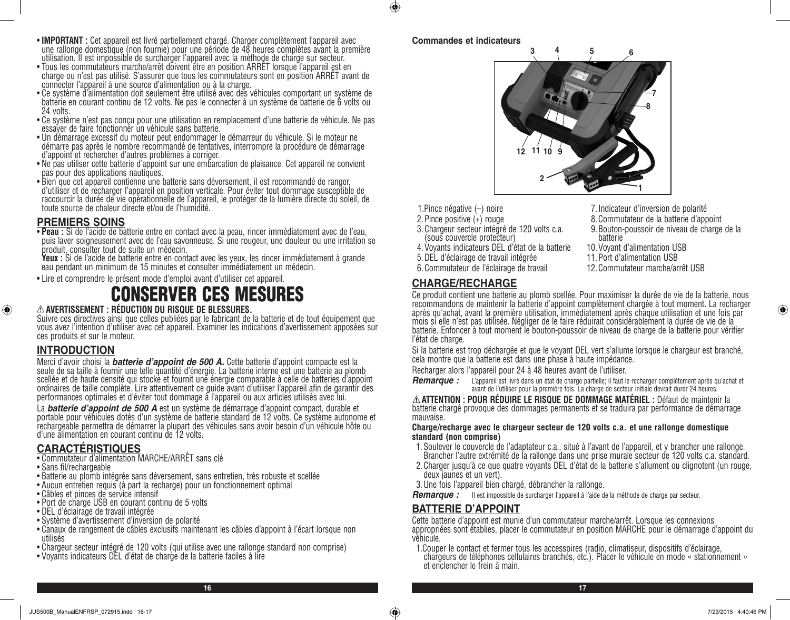- **IMPORTANT :** Cet appareil est livré partiellement chargé. Charger complètement l'appareil avec une rallonge domestique (non fournie) pour une période de 48 heures complètes avant la première utilisation. Il est impossible de surcharger l'appareil avec la méthode de charge sur secteur.<br>• Tous les commutateurs marche/arrêt doivent être en position ARRET lorsque l'appareil est en
- Tous les commutateurs marche/arrêt doivent être en position ARRET lorsque l'appareil est en<br>charge ou n'est pas utilisé. S'assurer que tous les commutateurs sont en position ARRÊT avant de connecter l'appareil à une source d'alimentation ou à la charge.
- Ce système d'alimentation doit seulement être utilisé avec des véhicules comportant un système de batterie en courant continu de 12 volts. Ne pas le connecter à un système de batterie de 6 volts ou 24 volts.
- Ce système n'est pas conçu pour une utilisation en remplacement d'une batterie de véhicule. Ne pas essayer de faire fonctionner un véhicule sans batterie.
- Un démarrage excessif du moteur peut endommager le démarreur du véhicule. Si le moteur ne démarre pas après le nombre recommandé de tentatives, interrompre la procédure de démarrage d'appoint et rechercher d'autres problèmes à corriger.
- Ne pas utiliser cette batterie d'appoint sur une embarcation de plaisance. Cet appareil ne convient pas pour des applications nautiques.
- Bien que cet appareil contienne une batterie sans déversement, il est recommandé de ranger, d'utiliser et de recharger l'appareil en position verticale. Pour éviter tout dommage susceptible de raccourcir la durée de vie opérationnelle de l'appareil, le protéger de la lumière directe du soleil, de toute source de chaleur directe et/ou de l'humidité.

**PREMIERS SOINS**<br>• Peau : Si de l'acide de batterie entre en contact avec la peau, rincer immédiatement avec de l'eau, puis laver soigneusement avec de l'eau savonneuse. Si une rougeur, une douleur ou une irritation se produit, consulter tout de suite un médecin.<br>**Yeux :** Si de l'acide de batterie entre en contact avec les yeux, les rincer immédiatement à grande

eau pendant un minimum de 15 minutes et consulter immédiatement un médecin.

• Lire et comprendre le présent mode d'emploi avant d'utiliser cet appareil.

# CONSERVER CES MESURES

#### **AVERTISSEMENT : RÉDUCTION DU RISQUE DE BLESSURES.**

Suivre ces directives ainsi que celles publiées par le fabricant de la batterie et de tout équipement que vous avez l'intention d'utiliser avec cet appareil. Examiner les indications d'avertissement apposées sur ces produits et sur le moteur.

# **INTRODUCTION**

⊕

Merci d'avoir choisi la *batterie d'appoint de 500 A. Cette batterie d'appoint compacte est la*<br>seule de sa taille à fournir une telle quantité d'énergie. La batterie interne est une batterie au plomb scellée et de haute densité qui stocke et fournit une énergie comparable à celle de batteries d'appoint ordinaires de taille complète. Lire attentivement ce guide avant d'utiliser l'appareil afin de garantir des performances optimales et d'éviter tout dommage à l'appareil ou aux articles utilisés avec lui.

La *batterie d'appoint de 500 A* est un système de démarrage d'appoint compact, durable et<br>portable pour véhicules dotés d'un système de batterie standard de 12 volts. Ce système autonome et rechargeable permettra de démarrer la plupart des véhicules sans avoir besoin d'un véhicule hôte ou d'une alimentation en courant continu de 12 volts.

# **CARACTÉRISTIQUES**

- Commutateur d'alimentation MARCHE/ARRÊT sans clé
- Sans fil/rechargeable
- Batterie au plomb intégrée sans déversement, sans entretien, très robuste et scellée
- Aucun entretien requis (à part la recharge) pour un fonctionnement optimal
- Câbles et pinces de service intensif
- Port de charge USB en courant continu de 5 volts
- DEL d'éclairage de travail intégrée
- Système d'avertissement d'inversion de polarité
- Canaux de rangement de câbles exclusifs maintenant les câbles d'appoint à l'écart lorsque non utilisés
- Chargeur secteur intégré de 120 volts (qui utilise avec une rallonge standard non comprise)
- Voyants indicateurs DEL d'état de charge de la batterie faciles à lire

#### **Commandes et indicateurs**

 $\bigcirc$ 



- 1.Pince négative (–) noire
- 2.Pince positive (+) rouge
- 3.Chargeur secteur intégré de 120 volts c.a. (sous couvercle protecteur)
- 4.Voyants indicateurs DEL d'état de la batterie
- 5.DEL d'éclairage de travail intégrée
- 6.Commutateur de l'éclairage de travail

# **CHARGE/RECHARGE**

- 7.Indicateur d'inversion de polarité
- 8.Commutateur de la batterie d'appoint
- 9.Bouton-poussoir de niveau de charge de la batterie
- 10.Voyant d'alimentation USB
- 11.Port d'alimentation USB
- 12.Commutateur marche/arrêt USB

⊕

Ce produit contient une batterie au plomb scellée. Pour maximiser la durée de vie de la batterie, nous recommandons de maintenir la batterie d'appoint complètement chargée à tout moment. La recharger après qu'achat, avant la première utilisation, immédiatement après chaque utilisation et une fois par mois si elle n'est pas utilisée. Négliger de le faire réduirait considérablement la durée de vie de la batterie. Enfoncer à tout moment le bouton-poussoir de niveau de charge de la batterie pour vérifier l'état de charge.

Si la batterie est trop déchargée et que le voyant DEL vert s'allume lorsque le chargeur est branché, cela montre que la batterie est dans une phase à haute impédance.

Recharger alors l'appareil pour 24 à 48 heures avant de l'utiliser.

*Remarque :* L'appareil est livré dans un état de charge partielle; il faut le recharger complètement après qu'achat et avant de l'utiliser pour la première fois. La charge de secteur initiale devrait durer 24 heures.

**ATTENTION : POUR RÉDUIRE LE RISQUE DE DOMMAGE MATÉRIEL :** Défaut de maintenir la batterie chargé provoque des dommages permanents et se traduira par performance de démarrage mauvaise.

#### **Charge/recharge avec le chargeur secteur de 120 volts c.a. et une rallonge domestique standard (non comprise)**

- 1.Soulever le couvercle de l'adaptateur c.a., situé à l'avant de l'appareil, et y brancher une rallonge. Brancher l'autre extrémité de la rallonge dans une prise murale secteur de 120 volts c.a. standard.
- 2.Charger jusqu'à ce que quatre voyants DEL d'état de la batterie s'allument ou clignotent (un rouge, deux jaunes et un vert).
- 3.Une fois l'appareil bien chargé, débrancher la rallonge.
- *Remarque :* Il est impossible de surcharger l'appareil à l'aide de la méthode de charge par secteur.

# **BATTERIE D'APPOINT**

Cette batterie d'appoint est munie d'un commutateur marche/arrêt. Lorsque les connexions appropriées sont établies, placer le commutateur en position MARCHE pour le démarrage d'appoint du véhicule.

1.Couper le contact et fermer tous les accessoires (radio, climatiseur, dispositifs d'éclairage, chargeurs de téléphones cellulaires branchés, etc.). Placer le véhicule en mode « stationnement » et enclencher le frein à main.

**16 17**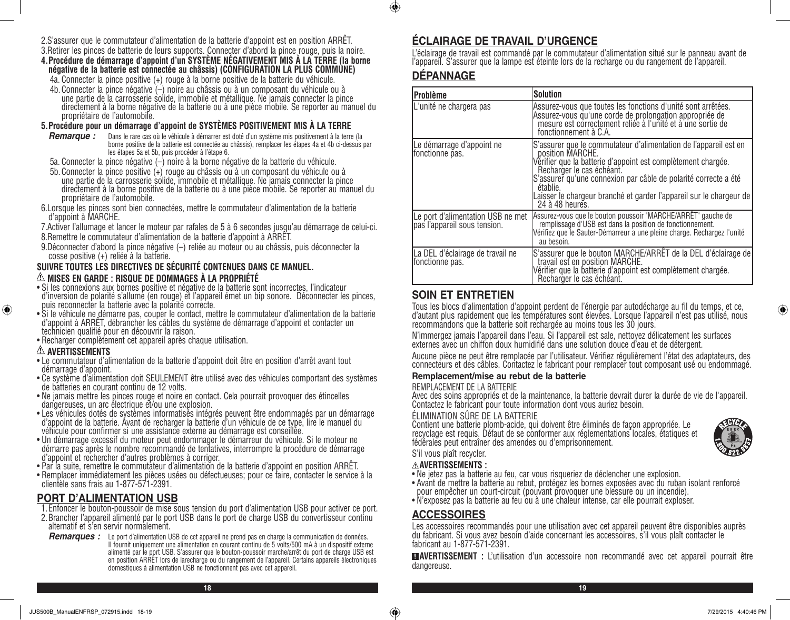- 2.S'assurer que le commutateur d'alimentation de la batterie d'appoint est en position ARRÊT.
- 3.Retirer les pinces de batterie de leurs supports. Connecter d'abord la pince rouge, puis la noire. **4.Procédure de démarrage d'appoint d'un SYSTÈME NÉGATIVEMENT MIS À LA TERRE (la borne négative de la batterie est connectée au châssis) (CONFIGURATION LA PLUS COMMUNE)**
	- 4a. Connecter la pince positive (+) rouge à la borne positive de la batterie du véhicule.
	- 4b.Connecter la pince négative (–) noire au châssis ou à un composant du véhicule ou à une partie de la carrosserie solide, immobile et métallique. Ne jamais connecter la pince directement à la borne négative de la batterie ou à une pièce mobile. Se reporter au manuel du propriétaire de l'automobile.

#### **5.Procédure pour un démarrage d'appoint de SYSTÈMES POSITIVEMENT MIS À LA TERRE**

- *Remarque :* Dans le rare cas où le véhicule à démarrer est doté d'un système mis positivement à la terre (la borne positive de la batterie est connectée au châssis), remplacer les étapes 4a et 4b ci-dessus par les étapes 5a et 5b, puis procéder à l'étape 6.
- 5a. Connecter la pince négative (–) noire à la borne négative de la batterie du véhicule.
- 5b.Connecter la pince positive (+) rouge au châssis ou à un composant du véhicule ou à une partie de la carrosserie solide, immobile et métallique. Ne jamais connecter la pince directement à la borne positive de la batterie ou à une pièce mobile. Se reporter au manuel du propriétaire de l'automobile.
- 6.Lorsque les pinces sont bien connectées, mettre le commutateur d'alimentation de la batterie d'appoint à MARCHE.
- 7.Activer l'allumage et lancer le moteur par rafales de 5 à 6 secondes jusqu'au démarrage de celui-ci.
- 8.Remettre le commutateur d'alimentation de la batterie d'appoint à ARRÊT.
- 9.Déconnecter d'abord la pince négative (–) reliée au moteur ou au châssis, puis déconnecter la cosse positive (+) reliée à la batterie.

#### **SUIVRE TOUTES LES DIRECTIVES DE SÉCURITÉ CONTENUES DANS CE MANUEL. MISES EN GARDE : RISQUE DE DOMMAGES À LA PROPRIÉTÉ**

- Si les connexions aux bornes positive et négative de la batterie sont incorrectes, l'indicateur d'inversion de polarité s'allume (en rouge) et l'appareil émet un bip sonore. Déconnecter les pinces, puis reconnecter la batterie avec la polarité correcte.
- Si le véhicule ne démarre pas, couper le contact, mettre le commutateur d'alimentation de la batterie d'appoint à ARRÊT, débrancher les câbles du système de démarrage d'appoint et contacter un technicien qualifié pour en découvrir la raison.
- Recharger complètement cet appareil après chaque utilisation.

#### **AVERTISSEMENTS**

⊕

- Le commutateur d'alimentation de la batterie d'appoint doit être en position d'arrêt avant tout démarrage d'appoint.
- Ce système d'alimentation doit SEULEMENT être utilisé avec des véhicules comportant des systèmes de batteries en courant continu de 12 volts.
- Ne jamais mettre les pinces rouge et noire en contact. Cela pourrait provoquer des étincelles dangereuses, un arc électrique et/ou une explosion.
- Les véhicules dotés de systèmes informatisés intégrés peuvent être endommagés par un démarrage d'appoint de la batterie. Avant de recharger la batterie d'un véhicule de ce type, lire le manuel du véhicule pour confirmer si une assistance externe au démarrage est conseillée.
- Un démarrage excessif du moteur peut endommager le démarreur du véhicule. Si le moteur ne démarre pas après le nombre recommandé de tentatives, interrompre la procédure de démarrage d'appoint et rechercher d'autres problèmes à corriger.
- Par la suite, remettre le commutateur d'alimentation de la batterie d'appoint en position ARRÊT.
- Remplacer immédiatement les pièces usées ou défectueuses; pour ce faire, contacter le service à la clientèle sans frais au 1-877-571-2391.

# **PORT D'ALIMENTATION USB**

- 1.Enfoncer le bouton-poussoir de mise sous tension du port d'alimentation USB pour activer ce port.
- 2.Brancher l'appareil alimenté par le port USB dans le port de charge USB du convertisseur continu alternatif et s'en servir normalement.
- *Remarques :* Le port d'alimentation USB de cet appareil ne prend pas en charge la communication de données. Il fournit uniquement une alimentation en courant continu de 5 volts/500 mA à un dispositif externe alimenté par le port USB. S'assurer que le bouton-poussoir marche/arrêt du port de charge USB est en position ARRÊT lors de larecharge ou du rangement de l'appareil. Certains appareils électroniques domestiques à alimentation USB ne fonctionnent pas avec cet appareil.

# **ÉCLAIRAGE DE TRAVAIL D'URGENCE**

L'éclairage de travail est commandé par le commutateur d'alimentation situé sur le panneau avant de l'appareil. S'assurer que la lampe est éteinte lors de la recharge ou du rangement de l'appareil.

# **DÉPANNAGE**

 $\bigoplus$ 

| Problème                                                          | <b>Solution</b>                                                                                                                                                                                                                                                                                                                                            |  |  |
|-------------------------------------------------------------------|------------------------------------------------------------------------------------------------------------------------------------------------------------------------------------------------------------------------------------------------------------------------------------------------------------------------------------------------------------|--|--|
| L'unité ne chargera pas                                           | Assurez-vous que toutes les fonctions d'unité sont arrêtées.<br>Assurez-vous qu'une corde de prolongation appropriée de<br>mesure est correctement reliée à l'unité et à une sortie de<br>fonctionnement à C.A.                                                                                                                                            |  |  |
| Le démarrage d'appoint ne<br>fonctionne pas.                      | S'assurer que le commutateur d'alimentation de l'appareil est en<br>position MARCHE.<br>Vérifier que la batterie d'appoint est complètement chargée.<br>Recharger le cas échéant.<br>S'assurer qu'une connexion par câble de polarité correcte a été<br>établie.<br>Laisser le chargeur branché et garder l'appareil sur le chargeur de<br>24 à 48 heures. |  |  |
| Le port d'alimentation USB ne met<br>pas l'appareil sous tension. | Assurez-vous que le bouton poussoir "MARCHE/ARRÊT" gauche de<br>remplissage d'USB est dans la position de fonctionnement.<br>Vérifiez que le Sauter-Démarreur a une pleine charge. Rechargez l'unité<br>au besoin.                                                                                                                                         |  |  |
| La DEL d'éclairage de travail ne<br>fonctionne pas.               | [S'assurer que le bouton MARCHE/ARRËT de la DEL d'éclairage de]<br>travail est en position MARCHE.<br>Vérifier que la batterie d'appoint est complètement chargée.<br>Recharger le cas échéant.                                                                                                                                                            |  |  |

# **SOIN ET ENTRETIEN**

Tous les blocs d'alimentation d'appoint perdent de l'énergie par autodécharge au fil du temps, et ce, d'autant plus rapidement que les températures sont élevées. Lorsque l'appareil n'est pas utilisé, nous recommandons que la batterie soit rechargée au moins tous les 30 jours.

N'immergez jamais l'appareil dans l'eau. Si l'appareil est sale, nettoyez délicatement les surfaces externes avec un chiffon doux humidifié dans une solution douce d'eau et de détergent.

Aucune pièce ne peut être remplacée par l'utilisateur. Vérifiez régulièrement l'état des adaptateurs, des connecteurs et des câbles. Contactez le fabricant pour remplacer tout composant usé ou endommagé.

#### **Remplacement/mise au rebut de la batterie**

#### REMPLACEMENT DE LA BATTERIE

Avec des soins appropriés et de la maintenance, la batterie devrait durer la durée de vie de l'appareil. Contactez le fabricant pour toute information dont vous auriez besoin.

#### ÉLIMINATION SÛRE DE LA BATTERIE

Contient une batterie plomb-acide, qui doivent être éliminés de façon appropriée. Le recyclage est requis. Défaut de se conformer aux réglementations locales, étatiques et fédérales peut entraîner des amendes ou d'emprisonnement.

S'il vous plaît recycler.

#### **AVERTISSEMENTS :**

- Ne jetez pas la batterie au feu, car vous risqueriez de déclencher une explosion. • Avant de mettre la batterie au rebut, protégez les bornes exposées avec du ruban isolant renforcé
- pour empêcher un court-circuit (pouvant provoquer une blessure ou un incendie).
- N'exposez pas la batterie au feu ou à une chaleur intense, car elle pourrait exploser.

# **ACCESSOIRES**

Les accessoires recommandés pour une utilisation avec cet appareil peuvent être disponibles auprès du fabricant. Si vous avez besoin d'aide concernant les accessoires, s'il vous plaît contacter le fabricant au 1-877-571-2391.

**ELAVERTISSEMENT** : L'utilisation d'un accessoire non recommandé avec cet appareil pourrait être dangereuse.

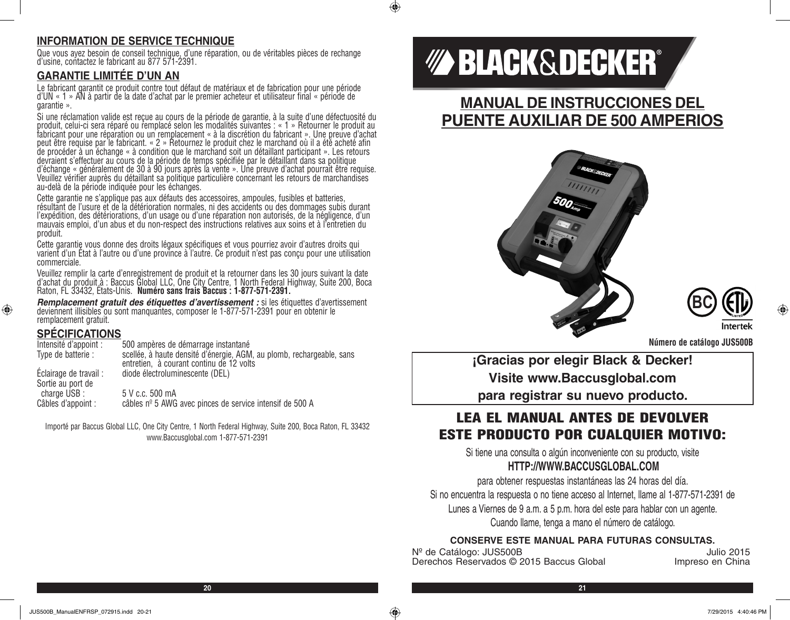# **INFORMATION DE SERVICE TECHNIQUE**

Que vous ayez besoin de conseil technique, d'une réparation, ou de véritables pièces de rechange d'usine, contactez le fabricant au 877 571-2391.

# **GARANTIE LIMITÉE D'UN AN**

Le fabricant garantit ce produit contre tout défaut de matériaux et de fabrication pour une période d'UN « 1 » AN à partir de la date d'achat par le premier acheteur et utilisateur final « période de garantie ».

Si une réclamation valide est reçue au cours de la période de garantie, à la suite d'une défectuosité du produit, celui-ci sera réparé ou remplacé selon les modalités suivantes : « 1 » Retourner le produit au fabricant pour une réparation ou un remplacement « à la discrétion du fabricant ». Une preuve d'achat peut être requise par le fabricant. « 2 » Retournez le produit chez le marchand où il a été acheté afin de procéder à un échange « à condition que le marchand soit un détaillant participant ». Les retours devraient s'effectuer au cours de la période de temps spécifiée par le détaillant dans sa politique d'échange « généralement de 30 à 90 jours après la vente ». Une preuve d'achat pourrait être requise. Veuillez vérifier auprès du détaillant sa politique particulière concernant les retours de marchandises au-delà de la période indiquée pour les échanges.

Cette garantie ne s'applique pas aux défauts des accessoires, ampoules, fusibles et batteries, résultant de l'usure et de la détérioration normales, ni des accidents ou des dommages subis durant l'expédition, des détériorations, d'un usage ou d'une réparation non autorisés, de la négligence, d'un mauvais emploi, d'un abus et du non-respect des instructions relatives aux soins et à l'entretien du produit.

Cette garantie vous donne des droits légaux spécifiques et vous pourriez avoir d'autres droits qui<br>varient d'un État à l'autre ou d'une province à l'autre. Ce produit n'est pas conçu pour une utilisation commerciale.

Veuillez remplir la carte d'enregistrement de produit et la retourner dans les 30 jours suivant la date d'achat du produit à : Baccus Global LLC, One City Centre, 1 North Federal Highway, Suite 200, Boca<br>Raton, FL 33432, États-Unis. **Numéro sans frais Baccus : 1-877-571-2391.** 

*Remplacement gratuit des étiquettes d'avertissement :* si les étiquettes d'avertissement deviennent illisibles ou sont manquantes, composer le 1-877-571-2391 pour en obtenir le remplacement gratuit.

# **SPÉCIFICATIONS**

⊕

| Intensité d'appoint :                       | 500 ampères de démarrage instantané                                                                               |
|---------------------------------------------|-------------------------------------------------------------------------------------------------------------------|
| Type de batterie :                          | scellée, à haute densité d'énergie, AGM, au plomb, rechargeable, sans<br>entretien, à courant continu de 12 volts |
| Eclairage de travail :<br>Sortie au port de | diode électroluminescente (DEL)                                                                                   |
| charge USB :<br>Câbles d'appoint :          | 5 V c.c. 500 mA<br>câbles nº 5 AWG avec pinces de service intensif de 500 A                                       |

Importé par Baccus Global LLC, One City Centre, 1 North Federal Highway, Suite 200, Boca Raton, FL 33432 www.Baccusglobal.com 1-877-571-2391

# *MA BLACK&DECKER®*

# **MANUAL DE INSTRUCCIONES DEL PUENTE AUXILIAR DE 500 AMPERIOS**





**Número de catálogo JUS500B**

**¡Gracias por elegir Black & Decker! Visite www.Baccusglobal.com para registrar su nuevo producto.**

# LEA EL MANUAL ANTES DE DEVOLVER ESTE PRODUCTO POR CUALQUIER MOTIVO:

Si tiene una consulta o algún inconveniente con su producto, visite **HTTP://WWW.BACCUSGLOBAL.COM**

para obtener respuestas instantáneas las 24 horas del día. Si no encuentra la respuesta o no tiene acceso al Internet, llame al 1-877-571-2391 de Lunes a Viernes de 9 a.m. a 5 p.m. hora del este para hablar con un agente. Cuando llame, tenga a mano el número de catálogo.

## **CONSERVE ESTE MANUAL PARA FUTURAS CONSULTAS.**

Nº de Catálogo: JUS500B<br>Derechos Reservados © 2015 Baccus Global *Impreso* en China Derechos Reservados © 2015 Baccus Global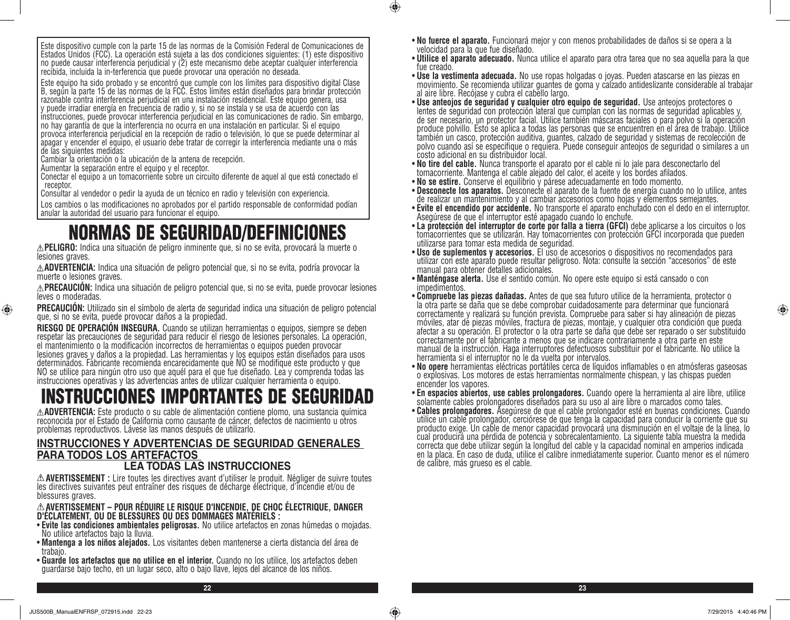Este equipo ha sido probado y se encontró que cumple con los límites para dispositivo digital Clase B, según la parte 15 de las normas de la FCC. Estos límites están diseñados para brindar protección razonable contra interferencia perjudicial en una instalación residencial. Este equipo genera, usa y puede irradiar energía en frecuencia de radio y, si no se instala y se usa de acuerdo con las instrucciones, puede provocar interferencia perjudicial en las comunicaciones de radio. Sin embargo, no hay garantía de que la interferencia no ocurra en una instalación en particular. Si el equipo provoca interferencia perjudicial en la recepción de radio o televisión, lo que se puede determinar al apagar y encender el equipo, el usuario debe tratar de corregir la interferencia mediante una o más de las siguientes medidas:

Cambiar la orientación o la ubicación de la antena de recepción.

Aumentar la separación entre el equipo y el receptor.

Conectar el equipo a un tomacorriente sobre un circuito diferente de aquel al que está conectado el receptor.

Consultar al vendedor o pedir la ayuda de un técnico en radio y televisión con experiencia.

Los cambios o las modificaciones no aprobados por el partido responsable de conformidad podían anular la autoridad del usuario para funcionar el equipo.

# NORMAS DE SEGURIDAD/DEFINICIONES

**PELIGRO:** Indica una situación de peligro inminente que, si no se evita, provocará la muerte o lesiones graves.

**ADVERTENCIA:** Indica una situación de peligro potencial que, si no se evita, podría provocar la muerte o lesiones graves.

**PRECAUCIÓN:** Indica una situación de peligro potencial que, si no se evita, puede provocar lesiones leves o moderadas.

**PRECAUCIÓN:** Utilizado sin el símbolo de alerta de seguridad indica una situación de peligro potencial que, si no se evita, puede provocar daños a la propiedad.

**RIESGO DE OPERACIÓN INSEGURA.** Cuando se utilizan herramientas o equipos, siempre se deben respetar las precauciones de seguridad para reducir el riesgo de lesiones personales. La operación, el mantenimiento o la modificación incorrectos de herramientas o equipos pueden provocar lesiones graves y daños a la propiedad. Las herramientas y los equipos están diseñados para usos determinados. Fabricante recomienda encarecidamente que NO se modifique este producto y que NO se utilice para ningún otro uso que aquél para el que fue diseñado. Lea y comprenda todas las instrucciones operativas y las advertencias antes de utilizar cualquier herramienta o equipo.

# INSTRUCCIONES IMPORTANTES DE SEGURIDAD

**ADVERTENCIA:** Este producto o su cable de alimentación contiene plomo, una sustancia química reconocida por el Estado de California como causante de cáncer, defectos de nacimiento u otros problemas reproductivos. Lávese las manos después de utilizarlo.

#### **INSTRUCCIONES Y ADVERTENCIAS DE SEGURIDAD GENERALES PARA TODOS LOS ARTEFACTOS LEA TODAS LAS INSTRUCCIONES**

**AVERTISSEMENT :** Lire toutes les directives avant d'utiliser le produit. Négliger de suivre toutes les directives suivantes peut entraîner des risques de décharge électrique, d'incendie et/ou de blessures graves.

# **AVERTISSEMENT – POUR RÉDUIRE LE RISQUE D'INCENDIE, DE CHOC ÉLECTRIQUE, DANGER D'ÉCLATEMENT, OU DE BLESSURES OU DES DOMMAGES MATÉRIELS :**

- **Evite las condiciones ambientales peligrosas.** No utilice artefactos en zonas húmedas o mojadas. No utilice artefactos bajo la lluvia.
- **Mantenga a los niños alejados.** Los visitantes deben mantenerse a cierta distancia del área de trabajo.
- **Guarde los artefactos que no utilice en el interior.** Cuando no los utilice, los artefactos deben guardarse bajo techo, en un lugar seco, alto o bajo llave, lejos del alcance de los niños.
- **No fuerce el aparato.** Funcionará mejor y con menos probabilidades de daños si se opera a la velocidad para la que fue diseñado.
- **Utilice el aparato adecuado.** Nunca utilice el aparato para otra tarea que no sea aquella para la que fue creado.
- **Use la vestimenta adecuada.** No use ropas holgadas o joyas. Pueden atascarse en las piezas en movimiento. Se recomienda utilizar guantes de goma y calzado antideslizante considerable al trabajar al aire libre. Recójase y cubra el cabello largo.
- **Use anteojos de seguridad y cualquier otro equipo de seguridad.** Use anteojos protectores o lentes de seguridad con protección lateral que cumplan con las normas de seguridad aplicables y, de ser necesario, un protector facial. Utilice también máscaras faciales o para polvo si la operación produce polvillo. Esto se aplica a todas las personas que se encuentren en el área de trabajo. Utilice también un casco, protección auditiva, guantes, calzado de seguridad y sistemas de recolección de polvo cuando así se especifique o requiera. Puede conseguir anteojos de seguridad o similares a un costo adicional en su distribuidor local.<br>• No tire del cable. Nunca transporte el aparato por el cable ni lo jale para desconectarlo del
- **No tire del cable.** Nunca transporte el aparato por el cable ni lo jale para desconectarlo del tomacorriente. Mantenga el cable alejado del calor, el aceite y los bordes afilados.
- **No se estire.** Conserve el equilibrio y párese adecuadamente en todo momento.
- **Desconecte los aparatos.** Desconecte el aparato de la fuente de energía cuando no lo utilice, antes de realizar un mantenimiento y al cambiar accesorios como hojas y elementos semejantes.
- **Evite el encendido por accidente.** No transporte el aparato enchufado con el dedo en el interruptor. Asegúrese de que el interruptor esté apagado cuando lo enchufe.
- tomacorrientes que se utilizarán. Hay tomacorrientes con protección GFCI incorporada que pueden utilizarse para tomar esta medida de seguridad.<br>• Uso de suplementos y accesorios. El uso de accesorios o dispositivos no recomendados para
- **Uso de suplementos y accesorios.** El uso de accesorios o dispositivos no recomendados para utilizar con este aparato puede resultar peligroso. Nota: consulte la sección "accesorios" de este manual para obtener detalles adicionales.
- **Manténgase alerta.** Use el sentido común. No opere este equipo si está cansado o con impedimentos.
- **Compruebe las piezas dañadas.** Antes de que sea futuro utilice de la herramienta, protector o la otra parte se daña que se debe comprobar cuidadosamente para determinar que funcionará correctamente y realizará su función prevista. Compruebe para saber si hay alineación de piezas móviles, atar de piezas móviles, fractura de piezas, montaje, y cualquier otra condición que pueda afectar a su operación. El protector o la otra parte se daña que debe ser reparado o ser substituido correctamente por el fabricante a menos que se indicare contrariamente a otra parte en este manual de la instrucción. Haga interruptores defectuosos substituir por el fabricante. No utilice la herramienta si el interruptor no le da vuelta por intervalos.<br>• **No opere** herramientas eléctricas portátiles cerca de líquidos inflamables o en atmósferas gaseosas
- o explosivas. Los motores de estas herramientas normalmente chispean, y las chispas pueden
- encender los vapores.<br>• En espacios abiertos, use cables prolongadores. Cuando opere la herramienta al aire libre, utilice
- solamente cables prolongadores diseñados para su uso al aire libre o marcados como tales.<br>• **Cables prolongadores.** Asegúrese de que el cable prolongador esté en buenas condiciones. Cuando utilice un cable prolongador, cerciórese de que tenga la capacidad para conducir la corriente que su producto exige. Un cable de menor capacidad provocará una disminución en el voltaje de la línea, lo cual producirá una pérdida de potencia y sobrecalentamiento. La siguiente tabla muestra la medida correcta que debe utilizar según la longitud del cable y la capacidad nominal en amperios indicada en la placa. En caso de duda, utilice el calibre inmediatamente superior. Cuanto menor es el número de calibre, más grueso es el cable.

⊕

**22 23**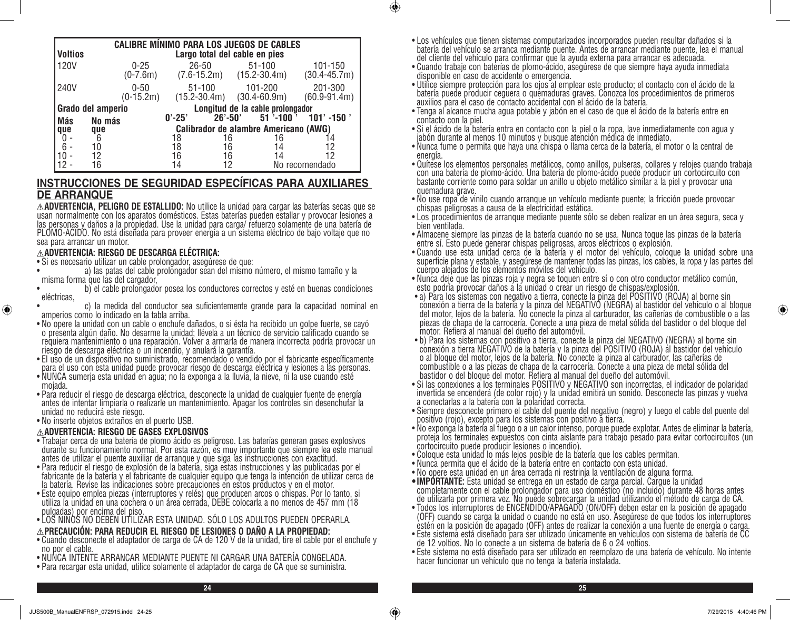| <b>Voltios</b> |                   | <b>CALIBRE MÍNIMO PARA LOS JUEGOS DE CABLES</b> |            |                                | Largo total del cable en pies                  |              |                             |
|----------------|-------------------|-------------------------------------------------|------------|--------------------------------|------------------------------------------------|--------------|-----------------------------|
| <b>120V</b>    |                   | $0 - 25$<br>$(0-7.6m)$                          |            | $26 - 50$                      | $51 - 100$<br>$(7.6 - 15.2m)$ $(15.2 - 30.4m)$ |              | 101-150<br>$(30.4 - 45.7m)$ |
| 240V           |                   | $0 - 50$<br>$(0-15.2m)$                         |            | $51 - 100$<br>$(15.2 - 30.4m)$ | 101-200<br>$(30.4 - 60.9m)$                    |              | 201-300<br>$(60.9 - 91.4m)$ |
|                | Grado del amperio |                                                 |            |                                | Longitud de la cable prolongador               |              |                             |
| <b>Más</b>     | No más            |                                                 | $0' - 25'$ | $26' - 50'$                    |                                                | $51$ '-100 ' | $101'$ -150 $^{\prime}$     |
| que            | que               |                                                 |            |                                | Calibrador de alambre Americano (AWG)          |              |                             |
|                | 6                 |                                                 | 18         | 16                             |                                                | 16           |                             |
|                | 10                |                                                 |            | 16                             |                                                | 14           | 12                          |
|                |                   |                                                 |            | 16                             |                                                | 14           | 12                          |
|                | 16                |                                                 |            |                                |                                                |              | No recomendado              |

## **INSTRUCCIONES DE SEGURIDAD ESPECÍFICAS PARA AUXILIARES DE ARRANQUE**

**ADVERTENCIA, PELIGRO DE ESTALLIDO:** No utilice la unidad para cargar las baterías secas que se usan normalmente con los aparatos domésticos. Estas baterías pueden estallar y provocar lesiones a PLOMO-ACIDO. No está diseñada para proveer energía a un sistema eléctrico de bajo voltaje que no sea para arrancar un motor.

#### **ADVERTENCIA: RIESGO DE DESCARGA ELÉCTRICA:**

- Si es necesario utilizar un cable prolongador, asegúrese de que:
- a) las patas del cable prolongador sean del mismo número, el mismo tamaño y la misma forma que las del cargador,
- b) el cable prolongador posea los conductores correctos y esté en buenas condiciones eléctricas,
- c) la medida del conductor sea suficientemente grande para la capacidad nominal en amperios como lo indicado en la tabla arriba.
- No opere la unidad con un cable o enchufe dañados, o si ésta ha recibido un golpe fuerte, se cayó o presenta algún daño. No desarme la unidad; llévela a un técnico de servicio calificado cuando se requiera mantenimiento o una reparación. Volver a armarla de manera incorrecta podría provocar un riesgo de descarga eléctrica o un incendio, y anulará la garantía.
- El uso de un dispositivo no suministrado, recomendado o vendido por el fabricante específicamente para el uso con esta unidad puede provocar riesgo de descarga eléctrica y lesiones a las personas.
- NUNCA sumerja esta unidad en agua; no la exponga a la lluvia, la nieve, ni la use cuando esté mojada.
- Para reducir el riesgo de descarga eléctrica, desconecte la unidad de cualquier fuente de energía antes de intentar limpiarla o realizarle un mantenimiento. Apagar los controles sin desenchufar la unidad no reducirá este riesgo.
- No inserte objetos extraños en el puerto USB.

⊕

#### **ADVERTENCIA: RIESGO DE GASES EXPLOSIVOS**

- Trabajar cerca de una batería de plomo ácido es peligroso. Las baterías generan gases explosivos durante su funcionamiento normal. Por esta razón, es muy importante que siempre lea este manual antes de utilizar el puente auxiliar de arranque y que siga las instrucciones con exactitud.
- Para reducir el riesgo de explosión de la batería, siga estas instrucciones y las publicadas por el fabricante de la batería y el fabricante de cualquier equipo que tenga la intención de utilizar cerca de la batería. Revise las indicaciones sobre precauciones en estos productos y en el motor.
- Este equipo emplea piezas (interruptores y relés) que producen arcos o chispas. Por lo tanto, si utiliza la unidad en una cochera o un área cerrada, DEBE colocarla a no menos de 457 mm (18 pulgadas) por encima del piso.
- LOS NIÑOS NO DEBEN UTILIZAR ESTA UNIDAD. SÓLO LOS ADULTOS PUEDEN OPERARLA.

#### **PRECAUCIÓN: PARA REDUCIR EL RIESGO DE LESIONES O DAÑO A LA PROPIEDAD:**

- Cuando desconecte el adaptador de carga de CA de 120 V de la unidad, tire el cable por el enchufe y no por el cable.
- NUNCA INTENTE ARRANCAR MEDIANTE PUENTE NI CARGAR UNA BATERÍA CONGELADA.
- Para recargar esta unidad, utilice solamente el adaptador de carga de CA que se suministra.
- Los vehículos que tienen sistemas computarizados incorporados pueden resultar dañados si la batería del vehículo se arranca mediante puente. Antes de arrancar mediante puente, lea el manual del cliente del vehículo para confirmar que la ayuda externa para arrancar es adecuada.
- Cuando trabaje con baterías de plomo-ácido, asegúrese de que siempre haya ayuda inmediata disponible en caso de accidente o emergencia.

- Utilice siempre protección para los ojos al emplear este producto; el contacto con el ácido de la batería puede producir ceguera o quemaduras graves. Conozca los procedimientos de primeros auxilios para el caso de contacto accidental con el ácido de la batería.
- Tenga al alcance mucha agua potable y jabón en el caso de que el ácido de la batería entre en contacto con la piel.
- Si el ácido de la batería entra en contacto con la piel o la ropa, lave inmediatamente con agua y jabón durante al menos 10 minutos y busque atención médica de inmediato.
- Nunca fume o permita que haya una chispa o llama cerca de la batería, el motor o la central de energía.
- Quítese los elementos personales metálicos, como anillos, pulseras, collares y relojes cuando trabaja con una batería de plomo-ácido. Una batería de plomo-ácido puede producir un cortocircuito con bastante corriente como para soldar un anillo u objeto metálico similar a la piel y provocar una quemadura grave.
- No use ropa de vinilo cuando arranque un vehículo mediante puente; la fricción puede provocar chispas peligrosas a causa de la electricidad estática.
- Los procedimientos de arranque mediante puente sólo se deben realizar en un área segura, seca y bien ventilada.
- Almacene siempre las pinzas de la batería cuando no se usa. Nunca toque las pinzas de la batería entre sí. Esto puede generar chispas peligrosas, arcos eléctricos o explosión.
- Cuando use esta unidad cerca de la batería y el motor del vehículo, coloque la unidad sobre una superficie plana y estable, y asegúrese de mantener todas las pinzas, los cables, la ropa y las partes del cuerpo alejados de los elementos móviles del vehículo.
- Nunca deje que las pinzas roja y negra se toquen entre sí o con otro conductor metálico común, esto podría provocar daños a la unidad o crear un riesgo de chispas/explosión.
- a) Para los sistemas con negativo a tierra, conecte la pinza del POSITIVO (ROJA) al borne sin conexión a tierra de la batería y la pinza del NEGATIVO (NEGRA) al bastidor del vehículo o al bloque del motor, lejos de la batería. No conecte la pinza al carburador, las cañerías de combustible o a las piezas de chapa de la carrocería. Conecte a una pieza de metal sólida del bastidor o del bloque del motor. Refiera al manual del dueño del automóvil.
- b) Para los sistemas con positivo a tierra, conecte la pinza del NEGATIVO (NEGRA) al borne sin conexión a tierra NEGATIVO de la batería y la pinza del POSITIVO (ROJA) al bastidor del vehículo o al bloque del motor, lejos de la batería. No conecte la pinza al carburador, las cañerías de combustible o a las piezas de chapa de la carrocería. Conecte a una pieza de metal sólida del bastidor o del bloque del motor. Refiera al manual del dueño del automóvil.
- Si las conexiones a los terminales POSITIVO y NEGATIVO son incorrectas, el indicador de polaridad invertida se encenderá (de color rojo) y la unidad emitirá un sonido. Desconecte las pinzas y vuelva a conectarlas a la batería con la polaridad correcta.
- Siempre desconecte primero el cable del puente del negativo (negro) y luego el cable del puente del positivo (rojo), excepto para los sistemas con positivo a tierra.
- No exponga la batería al fuego o a un calor intenso, porque puede explotar. Antes de eliminar la batería, proteja los terminales expuestos con cinta aislante para trabajo pesado para evitar cortocircuitos (un cortocircuito puede producir lesiones o incendio).
- Coloque esta unidad lo más lejos posible de la batería que los cables permitan.
- Nunca permita que el ácido de la batería entre en contacto con esta unidad.
- No opere esta unidad en un área cerrada ni restrinja la ventilación de alguna forma.
- **• IMPORTANTE:** Esta unidad se entrega en un estado de carga parcial. Cargue la unidad completamente con el cable prolongador para uso doméstico (no incluido) durante 48 horas antes de utilizarla por primera vez. No puede sobrecargar la unidad utilizando el método de carga de CA.
- Todos los interruptores de ENCENDIDO/APAGADO (ON/OFF) deben estar en la posición de apagado (OFF) cuando se carga la unidad o cuando no está en uso. Asegúrese de que todos los interruptores estén en la posición de apagado (OFF) antes de realizar la conexión a una fuente de energía o carga.
- Este sistema está diseñado para ser utilizado únicamente en vehículos con sistema de batería de CC de 12 voltios. No lo conecte a un sistema de batería de 6 o 24 voltios.
- Este sistema no está diseñado para ser utilizado en reemplazo de una batería de vehículo. No intente hacer funcionar un vehículo que no tenga la batería instalada.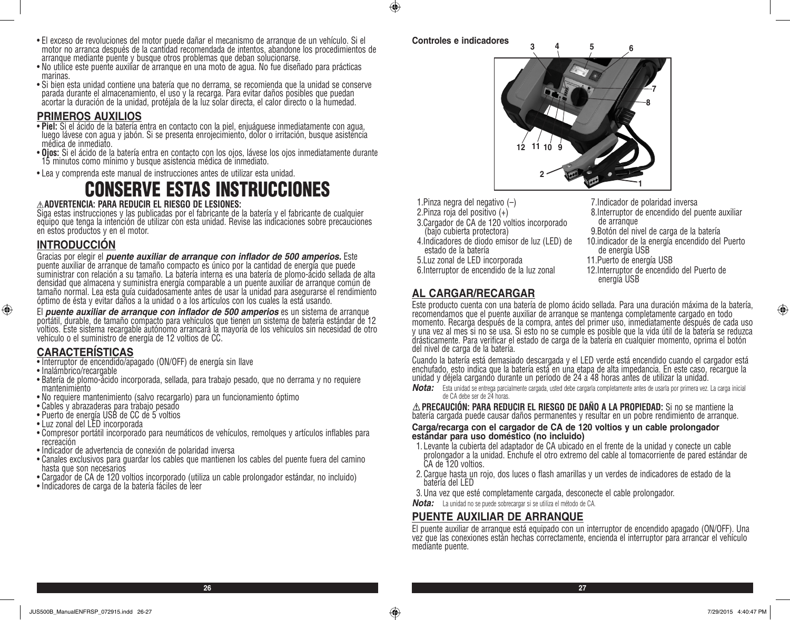- El exceso de revoluciones del motor puede dañar el mecanismo de arranque de un vehículo. Si el motor no arranca después de la cantidad recomendada de intentos, abandone los procedimientos de arranque mediante puente y busque otros problemas que deban solucionarse.
- No utilice este puente auxiliar de arranque en una moto de agua. No fue diseñado para prácticas marinas.
- Si bien esta unidad contiene una batería que no derrama, se recomienda que la unidad se conserve parada durante el almacenamiento, el uso y la recarga. Para evitar daños posibles que puedan acortar la duración de la unidad, protéjala de la luz solar directa, el calor directo o la humedad.

- **PRIMEROS AUXILIOS**<br>• Piel: Si el ácido de la batería entra en contacto con la piel, enjuáguese inmediatamente con agua, • **Piel:** Si el ácido de la batería entra en contacto con la piel, enjuáguese inmediatamente con agua, luego lávese con agua y jabón. Si se presenta enrojecimiento, dolor o irritación, busque asistencia médica de inmediato.
- **Ojos:** Si el ácido de la batería entra en contacto con los ojos, lávese los ojos inmediatamente durante 15 minutos como mínimo y busque asistencia médica de inmediato.
- Lea y comprenda este manual de instrucciones antes de utilizar esta unidad.

# CONSERVE ESTAS INSTRUCCIONES

## **ADVERTENCIA: PARA REDUCIR EL RIESGO DE LESIONES:**

Siga estas instrucciones y las publicadas por el fabricante de la batería y el fabricante de cualquier equipo que tenga la intención de utilizar con esta unidad. Revise las indicaciones sobre precauciones en estos productos y en el motor.

# **INTRODUCCIÓN**

Gracias por elegir el *puente auxiliar de arranque con inflador de 500 amperios.* Este puente auxiliar de arranque de tamaño compacto es único por la cantidad de energía que puede suministrar con relación a su tamaño. La batería interna es una batería de plomo-ácido sellada de alta densidad que almacena y suministra energía comparable a un puente auxiliar de arranque común de tamaño normal. Lea esta guía cuidadosamente antes de usar la unidad para asegurarse el rendimiento óptimo de ésta y evitar daños a la unidad o a los artículos con los cuales la está usando.

El *puente auxiliar de arranque con inflador de 500 amperios* es un sistema de arranque portátil, durable, de tamaño compacto para vehículos que tienen un sistema de batería estándar de 12 voltios. Este sistema recargable autónomo arrancará la mayoría de los vehículos sin necesidad de otro vehículo o el suministro de energía de 12 voltios de CC.

# **CARACTERÍSTICAS**

- Interruptor de encendido/apagado (ON/OFF) de energía sin llave
- Inalámbrico/recargable

⊕

- Batería de plomo-ácido incorporada, sellada, para trabajo pesado, que no derrama y no requiere mantenimiento
- No requiere mantenimiento (salvo recargarlo) para un funcionamiento óptimo
- Cables y abrazaderas para trabajo pesado
- Puerto de energía USB de CC de 5 voltios
- Luz zonal del LED incorporada
- Compresor portátil incorporado para neumáticos de vehículos, remolques y artículos inflables para recreación
- Indicador de advertencia de conexión de polaridad inversa
- Canales exclusivos para guardar los cables que mantienen los cables del puente fuera del camino hasta que son necesarios
- Cargador de CA de 120 voltios incorporado (utiliza un cable prolongador estándar, no incluido)
- Indicadores de carga de la batería fáciles de leer

## **Controles e indicadores**

 $\bigoplus$ 



- 1.Pinza negra del negativo (–)
- 2.Pinza roja del positivo (+)
- 3.Cargador de CA de 120 voltios incorporado (bajo cubierta protectora)
- 4.Indicadores de diodo emisor de luz (LED) de estado de la batería
- 5.Luz zonal de LED incorporada
- 6.Interruptor de encendido de la luz zonal
- 7.Indicador de polaridad inversa
- 8.Interruptor de encendido del puente auxiliar de arranque
- 9.Botón del nivel de carga de la batería
- 10.indicador de la energía encendido del Puerto de energía USB
- 11.Puerto de energía USB
- 12.Interruptor de encendido del Puerto de energía USB

# **AL CARGAR/RECARGAR**

Este producto cuenta con una batería de plomo ácido sellada. Para una duración máxima de la batería, recomendamos que el puente auxiliar de arranque se mantenga completamente cargado en todo momento. Recarga después de la compra, antes del primer uso, inmediatamente después de cada uso y una vez al mes si no se usa. Si esto no se cumple es posible que la vida útil de la batería se reduzca drásticamente. Para verificar el estado de carga de la batería en cualquier momento, oprima el botón del nivel de carga de la batería.

Cuando la batería está demasiado descargada y el LED verde está encendido cuando el cargador está enchufado, esto indica que la batería está en una etapa de alta impedancia. En este caso, recargue la unidad y déjela cargando durante un período de 24 a 48 horas antes de utilizar la unidad.

*Nota:* Esta unidad se entrega parcialmente cargada, usted debe cargarla completamente antes de usarla por primera vez. La carga inicial de CA debe ser de 24 horas.

**PRECAUCIÓN: PARA REDUCIR EL RIESGO DE DAÑO A LA PROPIEDAD:** Si no se mantiene la batería cargada puede causar daños permanentes y resultar en un pobre rendimiento de arranque.

#### **Carga/recarga con el cargador de CA de 120 voltios y un cable prolongador estándar para uso doméstico (no incluido)**

- 1. Levante la cubierta del adaptador de CA ubicado en el frente de la unidad y conecte un cable prolongador a la unidad. Enchufe el otro extremo del cable al tomacorriente de pared estándar de CA de 120 voltios.
- 2.Cargue hasta un rojo, dos luces o flash amarillas y un verdes de indicadores de estado de la batería del LED
- 3.Una vez que esté completamente cargada, desconecte el cable prolongador.
- *Nota:* La unidad no se puede sobrecargar si se utiliza el método de CA.

# **PUENTE AUXILIAR DE ARRANQUE**

El puente auxiliar de arranque está equipado con un interruptor de encendido apagado (ON/OFF). Una vez que las conexiones están hechas correctamente, encienda el interruptor para arrancar el vehículo mediante puente.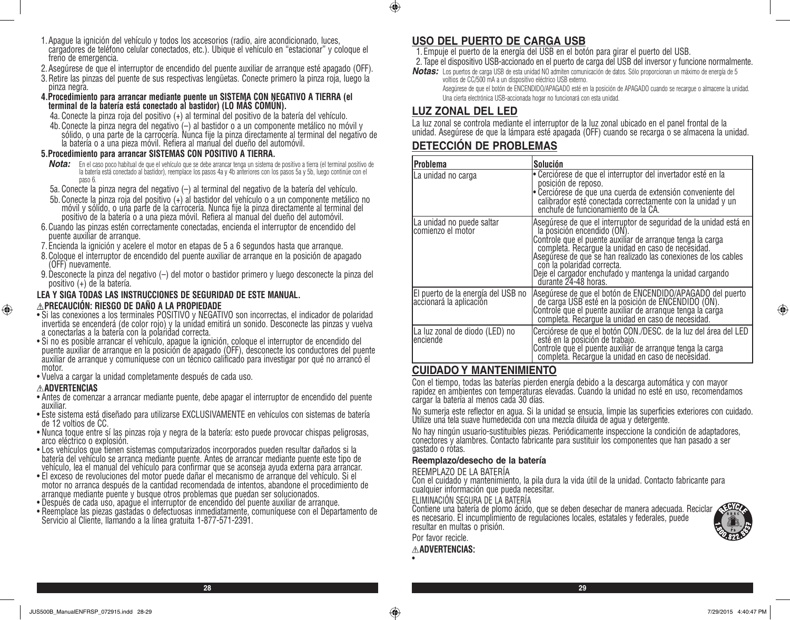- 1.Apague la ignición del vehículo y todos los accesorios (radio, aire acondicionado, luces, cargadores de teléfono celular conectados, etc.). Ubique el vehículo en "estacionar" y coloque el freno de emergencia.
- 2.Asegúrese de que el interruptor de encendido del puente auxiliar de arranque esté apagado (OFF).
- 3.Retire las pinzas del puente de sus respectivas lengüetas. Conecte primero la pinza roja, luego la pinza negra.
- **4.Procedimiento para arrancar mediante puente un SISTEMA CON NEGATIVO A TIERRA (el terminal de la batería está conectado al bastidor) (LO MÁS COMÚN).**
	- 4a. Conecte la pinza roja del positivo (+) al terminal del positivo de la batería del vehículo.
	- 4b. Conecte la pinza negra del negativo (–) al bastidor o a un componente metálico no móvil y sólido, o una parte de la carrocería. Nunca fije la pinza directamente al terminal del negativo de la batería o a una pieza móvil. Refiera al manual del dueño del automóvil.

#### **5.Procedimiento para arrancar SISTEMAS CON POSITIVO A TIERRA.**

- *Nota:* En el caso poco habitual de que el vehículo que se debe arrancar tenga un sistema de positivo a tierra (el terminal positivo de la batería está conectado al bastidor), reemplace los pasos 4a y 4b anteriores con los pasos 5a y 5b, luego continúe con el paso 6.
- 5a. Conecte la pinza negra del negativo (–) al terminal del negativo de la batería del vehículo.
- 5b.Conecte la pinza roja del positivo (+) al bastidor del vehículo o a un componente metálico no móvil y sólido, o una parte de la carrocería. Nunca fije la pinza directamente al terminal del positivo de la batería o a una pieza móvil. Refiera al manual del dueño del automóvil.
- 6.Cuando las pinzas estén correctamente conectadas, encienda el interruptor de encendido del puente auxiliar de arranque.
- 7. Encienda la ignición y acelere el motor en etapas de 5 a 6 segundos hasta que arranque.
- 8.Coloque el interruptor de encendido del puente auxiliar de arranque en la posición de apagado (OFF) nuevamente.
- 9.Desconecte la pinza del negativo (–) del motor o bastidor primero y luego desconecte la pinza del positivo (+) de la batería.

#### **LEA Y SIGA TODAS LAS INSTRUCCIONES DE SEGURIDAD DE ESTE MANUAL. PRECAUCIÓN: RIESGO DE DAÑO A LA PROPIEDADE**

- Si las conexiones a los terminales POSITIVO y NEGATIVO son incorrectas, el indicador de polaridad invertida se encenderá (de color rojo) y la unidad emitirá un sonido. Desconecte las pinzas y vuelva a conectarlas a la batería con la polaridad correcta.
- Si no es posible arrancar el vehículo, apague la ignición, coloque el interruptor de encendido del puente auxiliar de arranque en la posición de apagado (OFF), desconecte los conductores del puente auxiliar de arranque y comuníquese con un técnico calificado para investigar por qué no arrancó el motor.
- Vuelva a cargar la unidad completamente después de cada uso.

#### **ADVERTENCIAS**

⊕

- Antes de comenzar a arrancar mediante puente, debe apagar el interruptor de encendido del puente auxiliar.
- Este sistema está diseñado para utilizarse EXCLUSIVAMENTE en vehículos con sistemas de batería de 12 voltios de CC.
- Nunca toque entre sí las pinzas roja y negra de la batería: esto puede provocar chispas peligrosas, arco eléctrico o explosión.
- Los vehículos que tienen sistemas computarizados incorporados pueden resultar dañados si la batería del vehículo se arranca mediante puente. Antes de arrancar mediante puente este tipo de vehículo, lea el manual del vehículo para confirmar que se aconseja ayuda externa para arrancar.
- El exceso de revoluciones del motor puede dañar el mecanismo de arranque del vehículo. Si el motor no arranca después de la cantidad recomendada de intentos, abandone el procedimiento de arranque mediante puente y busque otros problemas que puedan ser solucionados.
- Después de cada uso, apague el interruptor de encendido del puente auxiliar de arranque.
- Reemplace las piezas gastadas o defectuosas inmediatamente, comuníquese con el Departamento de Servicio al Cliente, llamando a la línea gratuita 1-877-571-2391.

# **USO DEL PUERTO DE CARGA USB**

1. Empuje el puerto de la energía del USB en el botón para girar el puerto del USB. 2. Tape el dispositivo USB-accionado en el puerto de carga del USB del inversor y funcione normalmente.

*Notas:* Los puertos de carga USB de esta unidad NO admiten comunicación de datos. Sólo proporcionan un máximo de energía de 5 voltios de CC/500 mA a un dispositivo eléctrico USB externo. Asegúrese de que el botón de ENCENDIDO/APAGADO esté en la posición de APAGADO cuando se recargue o almacene la unidad. Una cierta electrónica USB-accionada hogar no funcionará con esta unidad.

# **LUZ ZONAL DEL LED**

 $\bigoplus$ 

La luz zonal se controla mediante el interruptor de la luz zonal ubicado en el panel frontal de la unidad. Asegúrese de que la lámpara esté apagada (OFF) cuando se recarga o se almacena la unidad.

# **DETECCIÓN DE PROBLEMAS**

| Problema                                                      | Solución                                                                                                                                                                                                                                                                                                                                                                                                 |
|---------------------------------------------------------------|----------------------------------------------------------------------------------------------------------------------------------------------------------------------------------------------------------------------------------------------------------------------------------------------------------------------------------------------------------------------------------------------------------|
| La unidad no carga                                            | • Cerciórese de que el interruptor del invertador esté en la<br>posición de reposo.<br>Cerciórese de que una cuerda de extensión conveniente del<br>Calibrador esté conectada correctamente con la unidad y un<br>enchufe de funcionamiento de la CA.                                                                                                                                                    |
| La unidad no puede saltar<br>comienzo el motor                | Asegúrese de que el interruptor de seguridad de la unidad está en<br>la posición encendido (ON).<br>Controle que el puente auxiliar de arranque tenga la carga<br>completa. Recargue la unidad en caso de necesidad.<br>Asegúrese de que se han realizado las conexiones de los cables<br>con la polaridad correcta.<br>Deje el cargador enchufado y mantenga la unidad cargando<br>durante 24-48 horas. |
| El puerto de la energía del USB no<br>accionará la aplicación | Asegúrese de que el botón de ENCENDIDO/APAGADO del puerto<br>de carga USB esté en la posición de ENCENDIDO (ON).<br>Controle que el puente auxiliar de arranque tenga la`carga<br>completa. Recargue la unidad en caso de necesidad.                                                                                                                                                                     |
| La luz zonal de diodo (LED) no<br>lenciende                   | Cerciórese de que el botón CON./DESC. de la luz del área del LED<br>esté en la posición de trabajo.<br>Controle que el puente auxiliár de arranque tenga la carga<br>completa. Recargue la unidad en caso de necesidad.                                                                                                                                                                                  |

# **CUIDADO Y MANTENIMIENTO**

Con el tiempo, todas las baterías pierden energía debido a la descarga automática y con mayor rapidez en ambientes con temperaturas elevadas. Cuando la unidad no esté en uso, recomendamos cargar la batería al menos cada 30 días.

No sumerja este reflector en agua. Si la unidad se ensucia, limpie las superficies exteriores con cuidado. Utilize una tela suave humedecida con una mezcla diluida de agua y detergente.

No hay ningún usuario-sustituibles piezas. Periódicamente inspeccione la condición de adaptadores, conectores y alambres. Contacto fabricante para sustituir los componentes que han pasado a ser gastado o rotas.

#### **Reemplazo/desecho de la batería**

#### REEMPLAZO DE LA BATERÍA

Con el cuidado y mantenimiento, la pila dura la vida útil de la unidad. Contacto fabricante para cualquier información que pueda necesitar.

ELIMINACIÓN SEGURA DE LA BATERÍA

Contiene una batería de plomo ácido, que se deben desechar de manera adecuada. Reciclar es necesario. El incumplimiento de regulaciones locales, estatales y federales, puede resultar en multas o prisión.

Por favor recicle. **ADVERTENCIAS:** ⊕

**28 29**

•